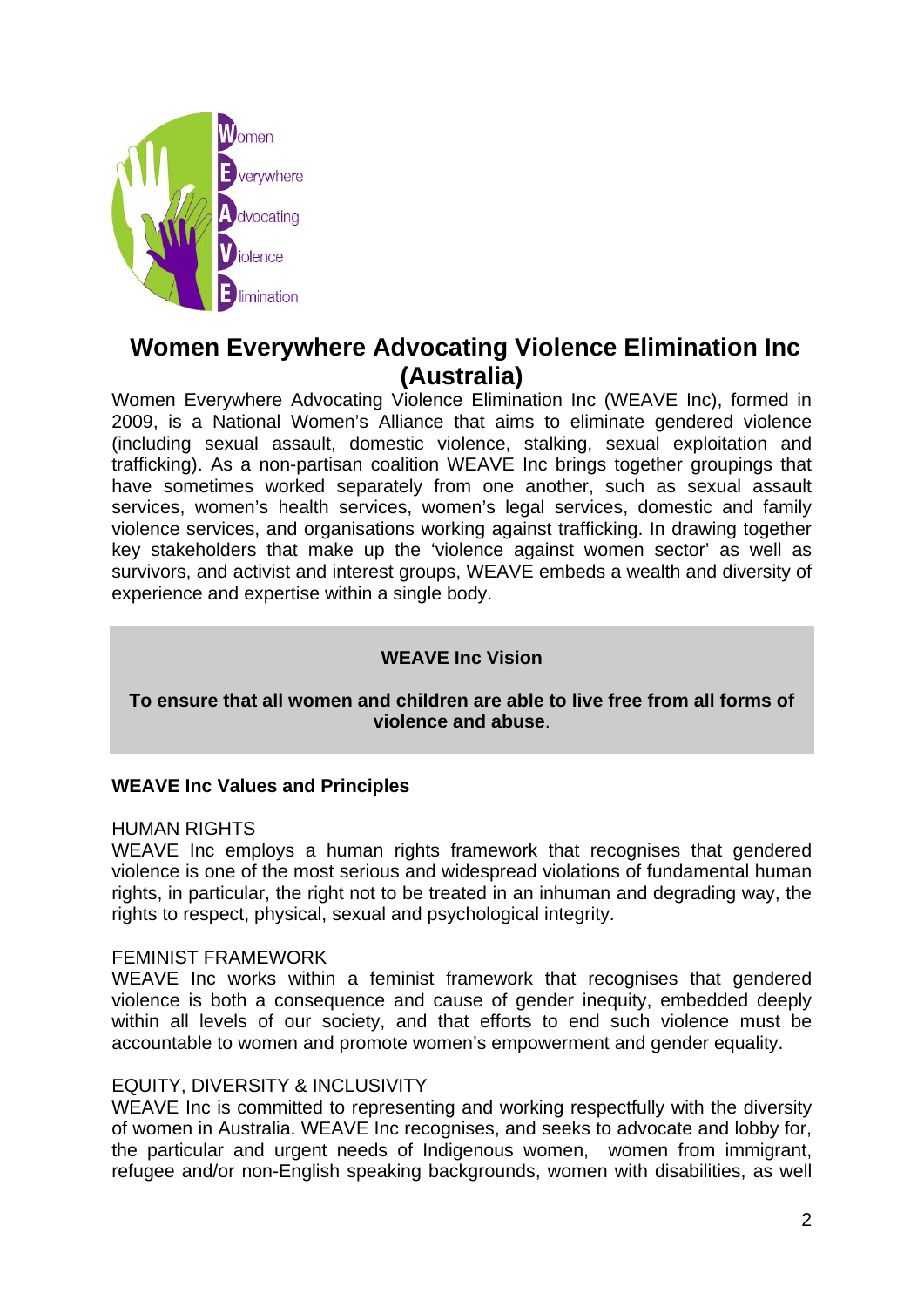

# **Women Everywhere Advocating Violence Elimination Inc (Australia)**

Women Everywhere Advocating Violence Elimination Inc (WEAVE Inc), formed in 2009, is a National Women's Alliance that aims to eliminate gendered violence (including sexual assault, domestic violence, stalking, sexual exploitation and trafficking). As a non-partisan coalition WEAVE Inc brings together groupings that have sometimes worked separately from one another, such as sexual assault services, women's health services, women's legal services, domestic and family violence services, and organisations working against trafficking. In drawing together key stakeholders that make up the 'violence against women sector' as well as survivors, and activist and interest groups, WEAVE embeds a wealth and diversity of experience and expertise within a single body.

# **WEAVE Inc Vision**

### **To ensure that all women and children are able to live free from all forms of violence and abuse**.

#### **WEAVE Inc Values and Principles**

#### HUMAN RIGHTS

WEAVE Inc employs a human rights framework that recognises that gendered violence is one of the most serious and widespread violations of fundamental human rights, in particular, the right not to be treated in an inhuman and degrading way, the rights to respect, physical, sexual and psychological integrity.

#### FEMINIST FRAMEWORK

WEAVE Inc works within a feminist framework that recognises that gendered violence is both a consequence and cause of gender inequity, embedded deeply within all levels of our society, and that efforts to end such violence must be accountable to women and promote women's empowerment and gender equality.

#### EQUITY, DIVERSITY & INCLUSIVITY

WEAVE Inc is committed to representing and working respectfully with the diversity of women in Australia. WEAVE Inc recognises, and seeks to advocate and lobby for, the particular and urgent needs of Indigenous women, women from immigrant, refugee and/or non-English speaking backgrounds, women with disabilities, as well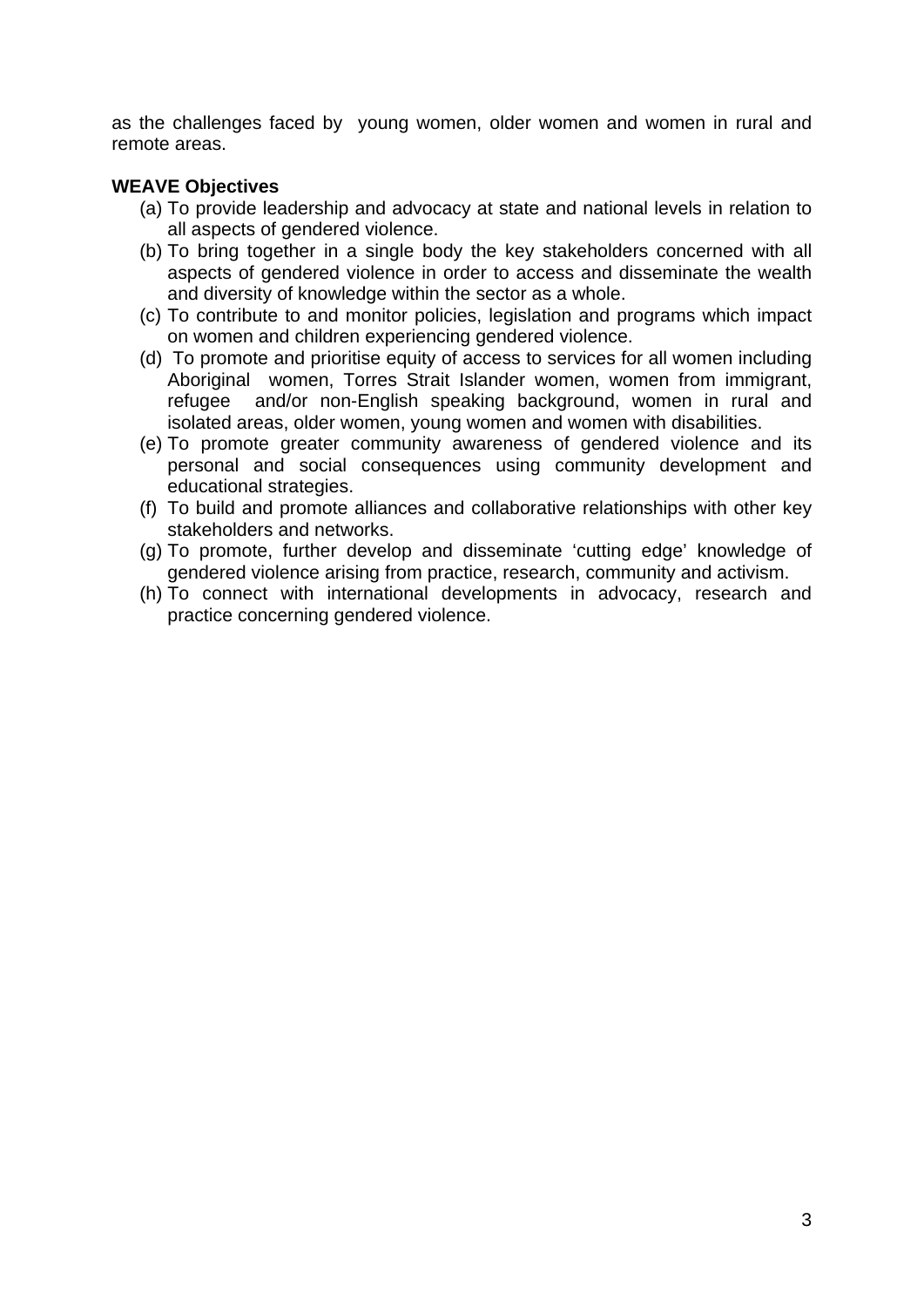as the challenges faced by young women, older women and women in rural and remote areas.

## **WEAVE Objectives**

- (a) To provide leadership and advocacy at state and national levels in relation to all aspects of gendered violence.
- (b) To bring together in a single body the key stakeholders concerned with all aspects of gendered violence in order to access and disseminate the wealth and diversity of knowledge within the sector as a whole.
- (c) To contribute to and monitor policies, legislation and programs which impact on women and children experiencing gendered violence.
- (d) To promote and prioritise equity of access to services for all women including Aboriginal women, Torres Strait Islander women, women from immigrant, refugee and/or non-English speaking background, women in rural and isolated areas, older women, young women and women with disabilities.
- (e) To promote greater community awareness of gendered violence and its personal and social consequences using community development and educational strategies.
- (f) To build and promote alliances and collaborative relationships with other key stakeholders and networks.
- (g) To promote, further develop and disseminate 'cutting edge' knowledge of gendered violence arising from practice, research, community and activism.
- (h) To connect with international developments in advocacy, research and practice concerning gendered violence.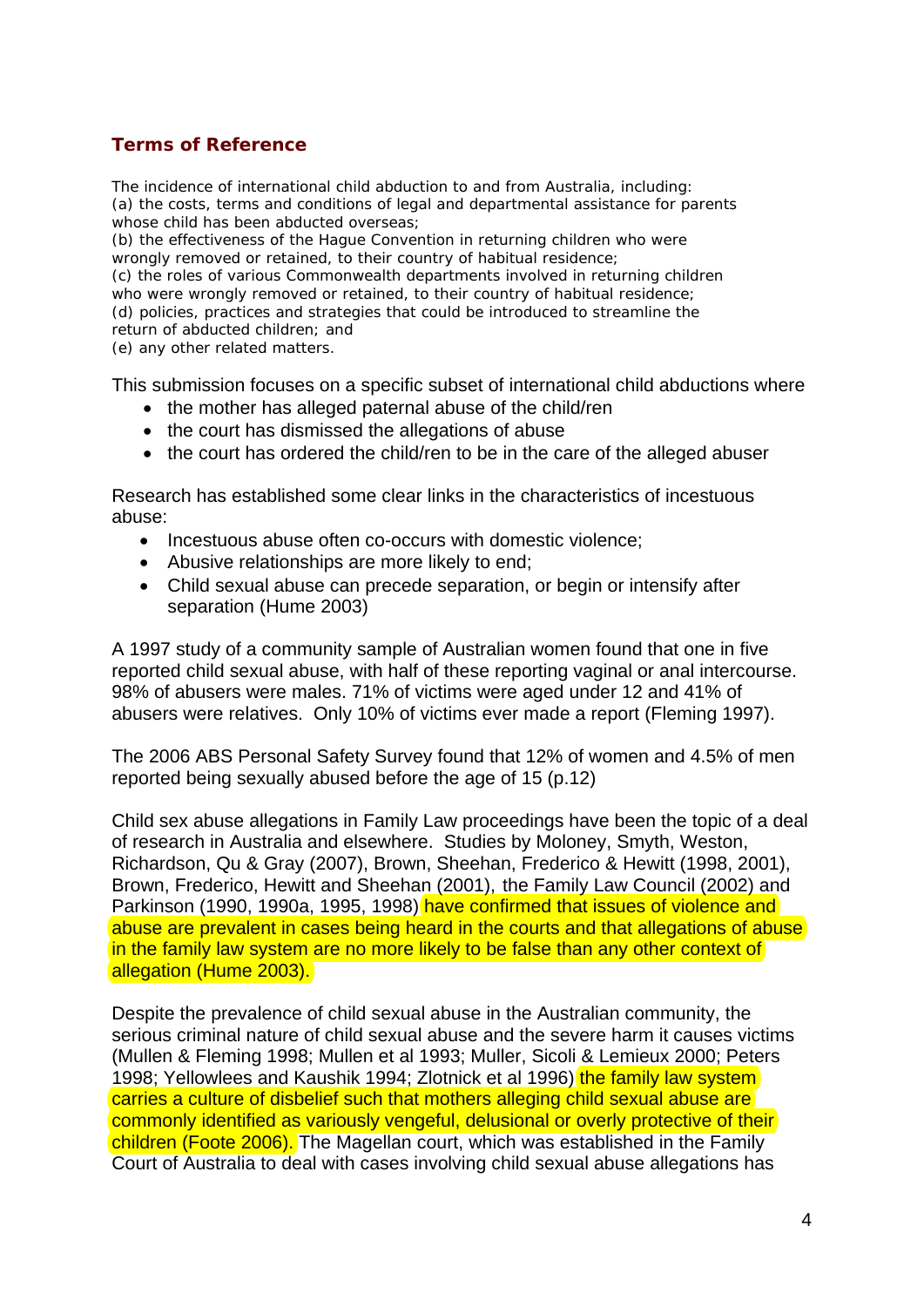# **Terms of Reference**

The incidence of international child abduction to and from Australia, including: (a) the costs, terms and conditions of legal and departmental assistance for parents whose child has been abducted overseas;

(b) the effectiveness of the Hague Convention in returning children who were wrongly removed or retained, to their country of habitual residence;

(c) the roles of various Commonwealth departments involved in returning children who were wrongly removed or retained, to their country of habitual residence;

(d) policies, practices and strategies that could be introduced to streamline the

return of abducted children; and

(e) any other related matters.

This submission focuses on a specific subset of international child abductions where

- the mother has alleged paternal abuse of the child/ren
- the court has dismissed the allegations of abuse
- the court has ordered the child/ren to be in the care of the alleged abuser

Research has established some clear links in the characteristics of incestuous abuse:

- Incestuous abuse often co-occurs with domestic violence;
- Abusive relationships are more likely to end;
- Child sexual abuse can precede separation, or begin or intensify after separation (Hume 2003)

A 1997 study of a community sample of Australian women found that one in five reported child sexual abuse, with half of these reporting vaginal or anal intercourse. 98% of abusers were males. 71% of victims were aged under 12 and 41% of abusers were relatives. Only 10% of victims ever made a report (Fleming 1997).

The 2006 ABS Personal Safety Survey found that 12% of women and 4.5% of men reported being sexually abused before the age of 15 (p.12)

Child sex abuse allegations in Family Law proceedings have been the topic of a deal of research in Australia and elsewhere. Studies by Moloney, Smyth, Weston, Richardson, Qu & Gray (2007), Brown, Sheehan, Frederico & Hewitt (1998, 2001), Brown, Frederico, Hewitt and Sheehan (2001), the Family Law Council (2002) and Parkinson (1990, 1990a, 1995, 1998) have confirmed that issues of violence and abuse are prevalent in cases being heard in the courts and that allegations of abuse in the family law system are no more likely to be false than any other context of allegation (Hume 2003).

Despite the prevalence of child sexual abuse in the Australian community, the serious criminal nature of child sexual abuse and the severe harm it causes victims (Mullen & Fleming 1998; Mullen et al 1993; Muller, Sicoli & Lemieux 2000; Peters 1998; Yellowlees and Kaushik 1994; Zlotnick et al 1996) the family law system carries a culture of disbelief such that mothers alleging child sexual abuse are commonly identified as variously vengeful, delusional or overly protective of their children (Foote 2006). The Magellan court, which was established in the Family Court of Australia to deal with cases involving child sexual abuse allegations has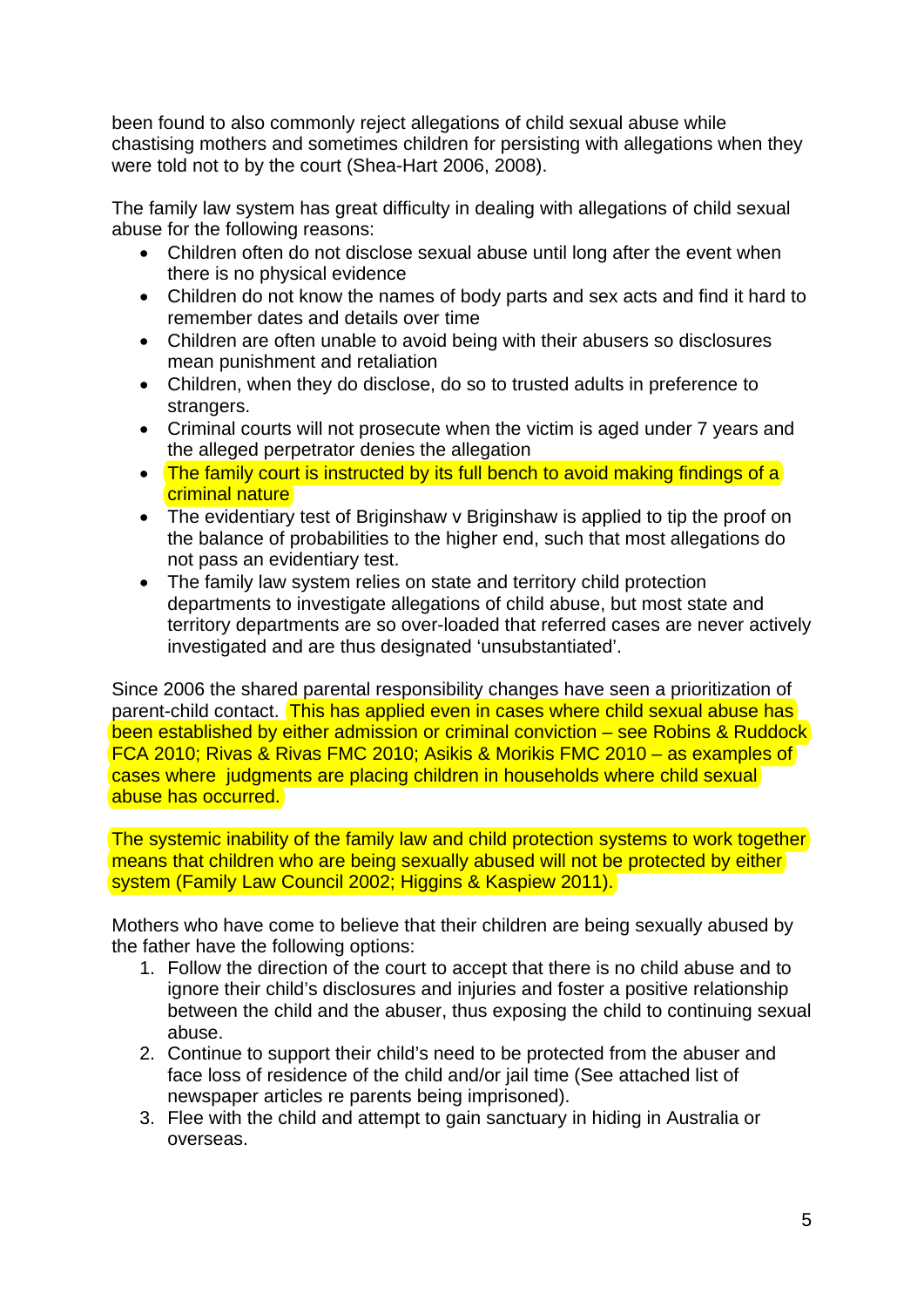been found to also commonly reject allegations of child sexual abuse while chastising mothers and sometimes children for persisting with allegations when they were told not to by the court (Shea-Hart 2006, 2008).

The family law system has great difficulty in dealing with allegations of child sexual abuse for the following reasons:

- Children often do not disclose sexual abuse until long after the event when there is no physical evidence
- Children do not know the names of body parts and sex acts and find it hard to remember dates and details over time
- Children are often unable to avoid being with their abusers so disclosures mean punishment and retaliation
- Children, when they do disclose, do so to trusted adults in preference to strangers.
- Criminal courts will not prosecute when the victim is aged under 7 years and the alleged perpetrator denies the allegation
- The family court is instructed by its full bench to avoid making findings of a criminal nature
- The evidentiary test of Briginshaw v Briginshaw is applied to tip the proof on the balance of probabilities to the higher end, such that most allegations do not pass an evidentiary test.
- The family law system relies on state and territory child protection departments to investigate allegations of child abuse, but most state and territory departments are so over-loaded that referred cases are never actively investigated and are thus designated 'unsubstantiated'.

Since 2006 the shared parental responsibility changes have seen a prioritization of parent-child contact. This has applied even in cases where child sexual abuse has been established by either admission or criminal conviction – see Robins & Ruddock FCA 2010; Rivas & Rivas FMC 2010; Asikis & Morikis FMC 2010 – as examples of cases where judgments are placing children in households where child sexual abuse has occurred.

The systemic inability of the family law and child protection systems to work together means that children who are being sexually abused will not be protected by either system (Family Law Council 2002; Higgins & Kaspiew 2011).

Mothers who have come to believe that their children are being sexually abused by the father have the following options:

- 1. Follow the direction of the court to accept that there is no child abuse and to ignore their child's disclosures and injuries and foster a positive relationship between the child and the abuser, thus exposing the child to continuing sexual abuse.
- 2. Continue to support their child's need to be protected from the abuser and face loss of residence of the child and/or jail time (See attached list of newspaper articles re parents being imprisoned).
- 3. Flee with the child and attempt to gain sanctuary in hiding in Australia or overseas.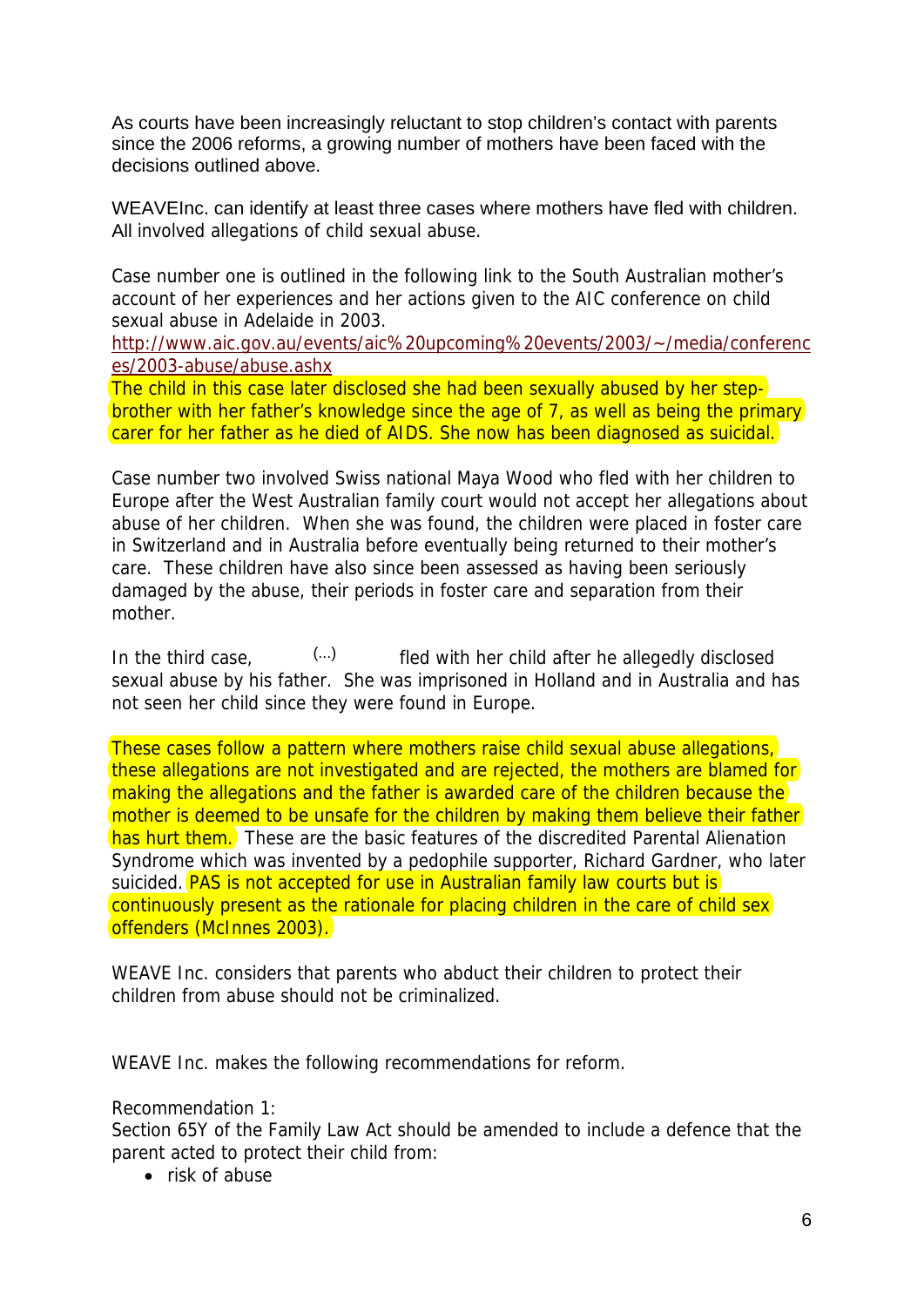As courts have been increasingly reluctant to stop children's contact with parents since the 2006 reforms, a growing number of mothers have been faced with the decisions outlined above.

WEAVEInc. can identify at least three cases where mothers have fled with children. All involved allegations of child sexual abuse.

Case number one is outlined in the following link to the South Australian mother's account of her experiences and her actions given to the AIC conference on child sexual abuse in Adelaide in 2003.

[http://www.aic.gov.au/events/aic%20upcoming%20events/2003/~/media/conferenc](http://www.aic.gov.au/events/aic%20upcoming%20events/2003/%7E/media/conferences/2003-abuse/abuse.ashx) [es/2003-abuse/abuse.ashx](http://www.aic.gov.au/events/aic%20upcoming%20events/2003/%7E/media/conferences/2003-abuse/abuse.ashx)

The child in this case later disclosed she had been sexually abused by her stepbrother with her father's knowledge since the age of 7, as well as being the primary carer for her father as he died of AIDS. She now has been diagnosed as suicidal.

Case number two involved Swiss national Maya Wood who fled with her children to Europe after the West Australian family court would not accept her allegations about abuse of her children. When she was found, the children were placed in foster care in Switzerland and in Australia before eventually being returned to their mother's care. These children have also since been assessed as having been seriously damaged by the abuse, their periods in foster care and separation from their mother.

In the third case,  $\left( \ldots \right)$  fled with her child after he allegedly disclosed sexual abuse by his father. She was imprisoned in Holland and in Australia and has not seen her child since they were found in Europe. (...)

These cases follow a pattern where mothers raise child sexual abuse allegations, these allegations are not investigated and are rejected, the mothers are blamed for making the allegations and the father is awarded care of the children because the mother is deemed to be unsafe for the children by making them believe their father has hurt them. These are the basic features of the discredited Parental Alienation Syndrome which was invented by a pedophile supporter, Richard Gardner, who later suicided. **PAS is not accepted for use in Australian family law courts but is** continuously present as the rationale for placing children in the care of child sex offenders (McInnes 2003).

WEAVE Inc. considers that parents who abduct their children to protect their children from abuse should not be criminalized.

WEAVE Inc. makes the following recommendations for reform.

Recommendation 1:

Section 65Y of the Family Law Act should be amended to include a defence that the parent acted to protect their child from:

• risk of abuse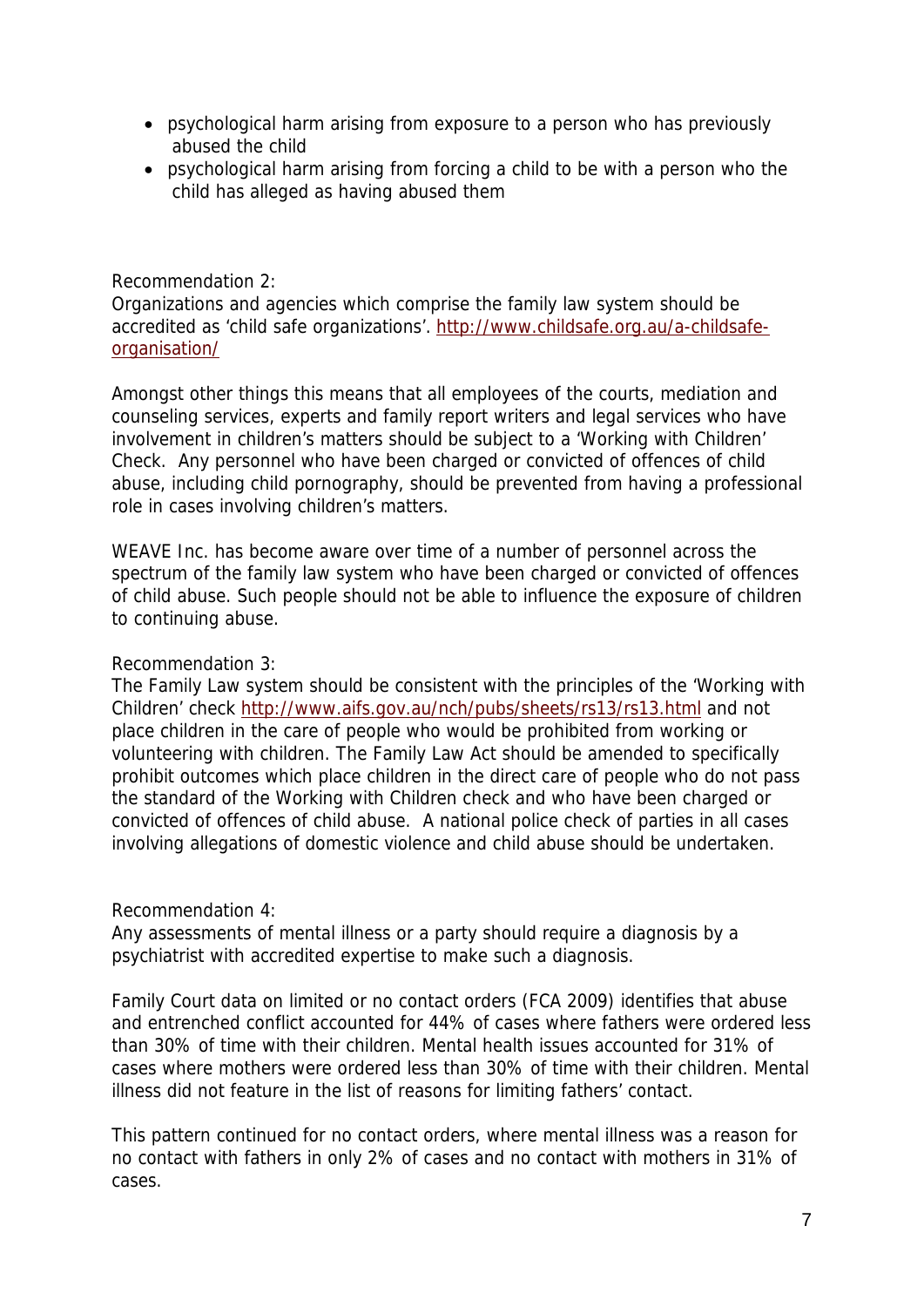- psychological harm arising from exposure to a person who has previously abused the child
- psychological harm arising from forcing a child to be with a person who the child has alleged as having abused them

#### Recommendation 2:

Organizations and agencies which comprise the family law system should be accredited as 'child safe organizations'. [http://www.childsafe.org.au/a-childsafe](http://www.childsafe.org.au/a-childsafe-organisation/)[organisation/](http://www.childsafe.org.au/a-childsafe-organisation/)

Amongst other things this means that all employees of the courts, mediation and counseling services, experts and family report writers and legal services who have involvement in children's matters should be subject to a 'Working with Children' Check. Any personnel who have been charged or convicted of offences of child abuse, including child pornography, should be prevented from having a professional role in cases involving children's matters.

WEAVE Inc. has become aware over time of a number of personnel across the spectrum of the family law system who have been charged or convicted of offences of child abuse. Such people should not be able to influence the exposure of children to continuing abuse.

## Recommendation 3:

The Family Law system should be consistent with the principles of the 'Working with Children' check<http://www.aifs.gov.au/nch/pubs/sheets/rs13/rs13.html> and not place children in the care of people who would be prohibited from working or volunteering with children. The Family Law Act should be amended to specifically prohibit outcomes which place children in the direct care of people who do not pass the standard of the Working with Children check and who have been charged or convicted of offences of child abuse. A national police check of parties in all cases involving allegations of domestic violence and child abuse should be undertaken.

#### Recommendation 4:

Any assessments of mental illness or a party should require a diagnosis by a psychiatrist with accredited expertise to make such a diagnosis.

Family Court data on limited or no contact orders (FCA 2009) identifies that abuse and entrenched conflict accounted for 44% of cases where fathers were ordered less than 30% of time with their children. Mental health issues accounted for 31% of cases where mothers were ordered less than 30% of time with their children. Mental illness did not feature in the list of reasons for limiting fathers' contact.

This pattern continued for no contact orders, where mental illness was a reason for no contact with fathers in only 2% of cases and no contact with mothers in 31% of cases.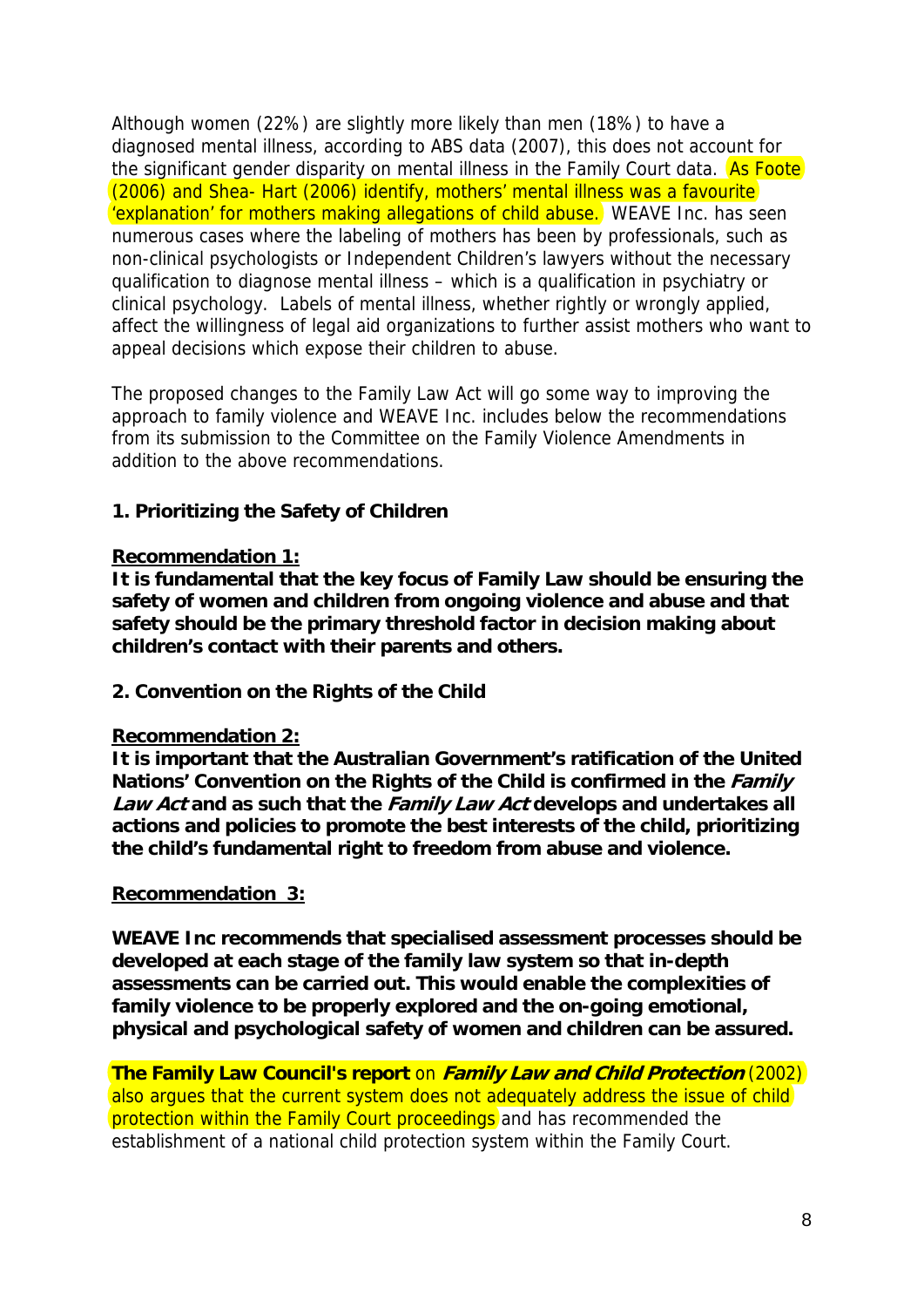Although women (22%) are slightly more likely than men (18%) to have a diagnosed mental illness, according to ABS data (2007), this does not account for the significant gender disparity on mental illness in the Family Court data. As Foote (2006) and Shea- Hart (2006) identify, mothers' mental illness was a favourite 'explanation' for mothers making allegations of child abuse. WEAVE Inc. has seen numerous cases where the labeling of mothers has been by professionals, such as non-clinical psychologists or Independent Children's lawyers without the necessary qualification to diagnose mental illness – which is a qualification in psychiatry or clinical psychology. Labels of mental illness, whether rightly or wrongly applied, affect the willingness of legal aid organizations to further assist mothers who want to appeal decisions which expose their children to abuse.

The proposed changes to the Family Law Act will go some way to improving the approach to family violence and WEAVE Inc. includes below the recommendations from its submission to the Committee on the Family Violence Amendments in addition to the above recommendations.

# **1. Prioritizing the Safety of Children**

### **Recommendation 1:**

**It is fundamental that the key focus of Family Law should be ensuring the safety of women and children from ongoing violence and abuse and that safety should be the primary threshold factor in decision making about children's contact with their parents and others.** 

# **2. Convention on the Rights of the Child**

# **Recommendation 2:**

**It is important that the Australian Government's ratification of the United**  Nations' Convention on the Rights of the Child is confirmed in the *Family* **Law Act and as such that the Family Law Act develops and undertakes all actions and policies to promote the best interests of the child, prioritizing the child's fundamental right to freedom from abuse and violence.** 

#### **Recommendation 3:**

**WEAVE Inc recommends that specialised assessment processes should be developed at each stage of the family law system so that in-depth assessments can be carried out. This would enable the complexities of family violence to be properly explored and the on-going emotional, physical and psychological safety of women and children can be assured.** 

**The Family Law Council's report** on **Family Law and Child Protection** (2002) also argues that the current system does not adequately address the issue of child protection within the Family Court proceedings and has recommended the establishment of a national child protection system within the Family Court.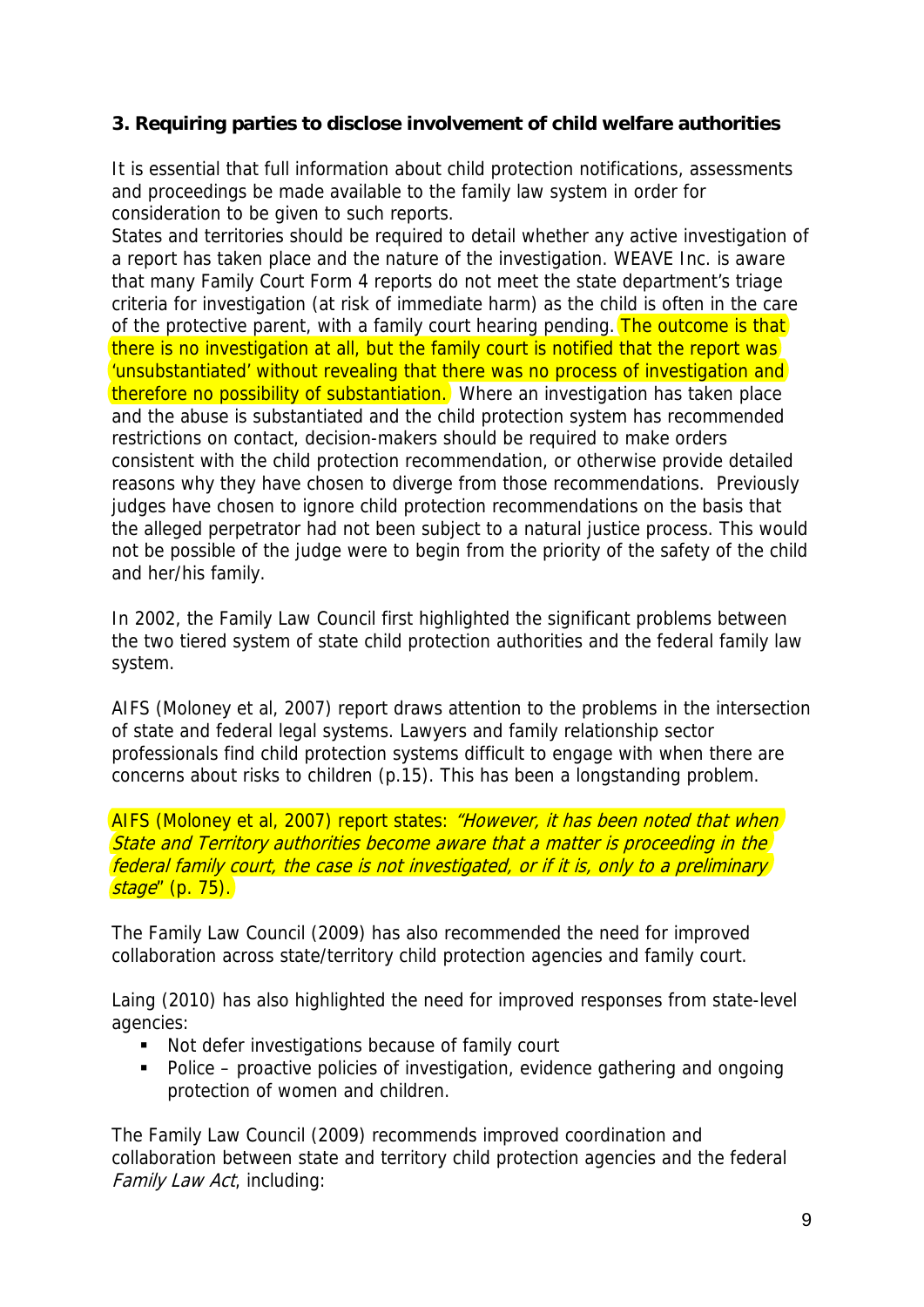# **3. Requiring parties to disclose involvement of child welfare authorities**

It is essential that full information about child protection notifications, assessments and proceedings be made available to the family law system in order for consideration to be given to such reports.

States and territories should be required to detail whether any active investigation of a report has taken place and the nature of the investigation. WEAVE Inc. is aware that many Family Court Form 4 reports do not meet the state department's triage criteria for investigation (at risk of immediate harm) as the child is often in the care of the protective parent, with a family court hearing pending. The outcome is that there is no investigation at all, but the family court is notified that the report was 'unsubstantiated' without revealing that there was no process of investigation and therefore no possibility of substantiation. Where an investigation has taken place and the abuse is substantiated and the child protection system has recommended restrictions on contact, decision-makers should be required to make orders consistent with the child protection recommendation, or otherwise provide detailed reasons why they have chosen to diverge from those recommendations. Previously judges have chosen to ignore child protection recommendations on the basis that the alleged perpetrator had not been subject to a natural justice process. This would not be possible of the judge were to begin from the priority of the safety of the child and her/his family.

In 2002, the Family Law Council first highlighted the significant problems between the two tiered system of state child protection authorities and the federal family law system.

AIFS (Moloney et al, 2007) report draws attention to the problems in the intersection of state and federal legal systems. Lawyers and family relationship sector professionals find child protection systems difficult to engage with when there are concerns about risks to children (p.15). This has been a longstanding problem.

AIFS (Moloney et al, 2007) report states: "However, it has been noted that when State and Territory authorities become aware that a matter is proceeding in the federal family court, the case is not investigated, or if it is, only to a preliminary stage" (p. 75).

The Family Law Council (2009) has also recommended the need for improved collaboration across state/territory child protection agencies and family court.

Laing (2010) has also highlighted the need for improved responses from state-level agencies:

- Not defer investigations because of family court
- Police proactive policies of investigation, evidence gathering and ongoing protection of women and children.

The Family Law Council (2009) recommends improved coordination and collaboration between state and territory child protection agencies and the federal Family Law Act, including: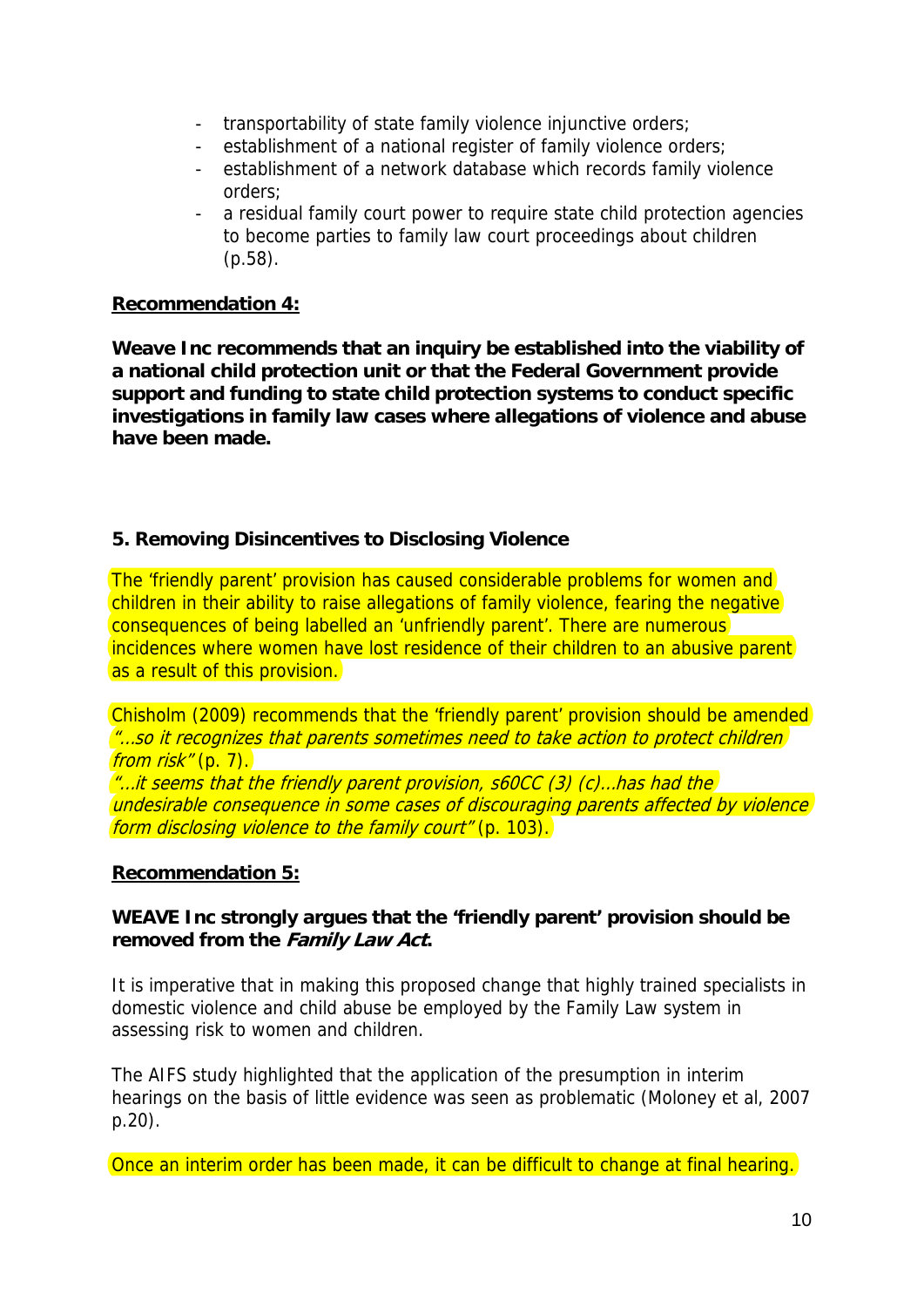- transportability of state family violence injunctive orders;
- establishment of a national register of family violence orders;
- establishment of a network database which records family violence orders;
- a residual family court power to require state child protection agencies to become parties to family law court proceedings about children (p.58).

### **Recommendation 4:**

**Weave Inc recommends that an inquiry be established into the viability of a national child protection unit or that the Federal Government provide support and funding to state child protection systems to conduct specific investigations in family law cases where allegations of violence and abuse have been made.** 

# **5. Removing Disincentives to Disclosing Violence**

The 'friendly parent' provision has caused considerable problems for women and children in their ability to raise allegations of family violence, fearing the negative consequences of being labelled an 'unfriendly parent'. There are numerous incidences where women have lost residence of their children to an abusive parent as a result of this provision.

Chisholm (2009) recommends that the 'friendly parent' provision should be amended <u>"...so it recognizes that parents sometimes need to take action to protect children </u> from risk" (p. 7).  $\ell$ ...it seems that the friendly parent provision, s60CC (3) (c)...has had the undesirable consequence in some cases of discouraging parents affected by violence form disclosing violence to the family court" (p. 103).

#### **Recommendation 5:**

# **WEAVE Inc strongly argues that the 'friendly parent' provision should be removed from the Family Law Act.**

It is imperative that in making this proposed change that highly trained specialists in domestic violence and child abuse be employed by the Family Law system in assessing risk to women and children.

The AIFS study highlighted that the application of the presumption in interim hearings on the basis of little evidence was seen as problematic (Moloney et al, 2007 p.20).

Once an interim order has been made, it can be difficult to change at final hearing.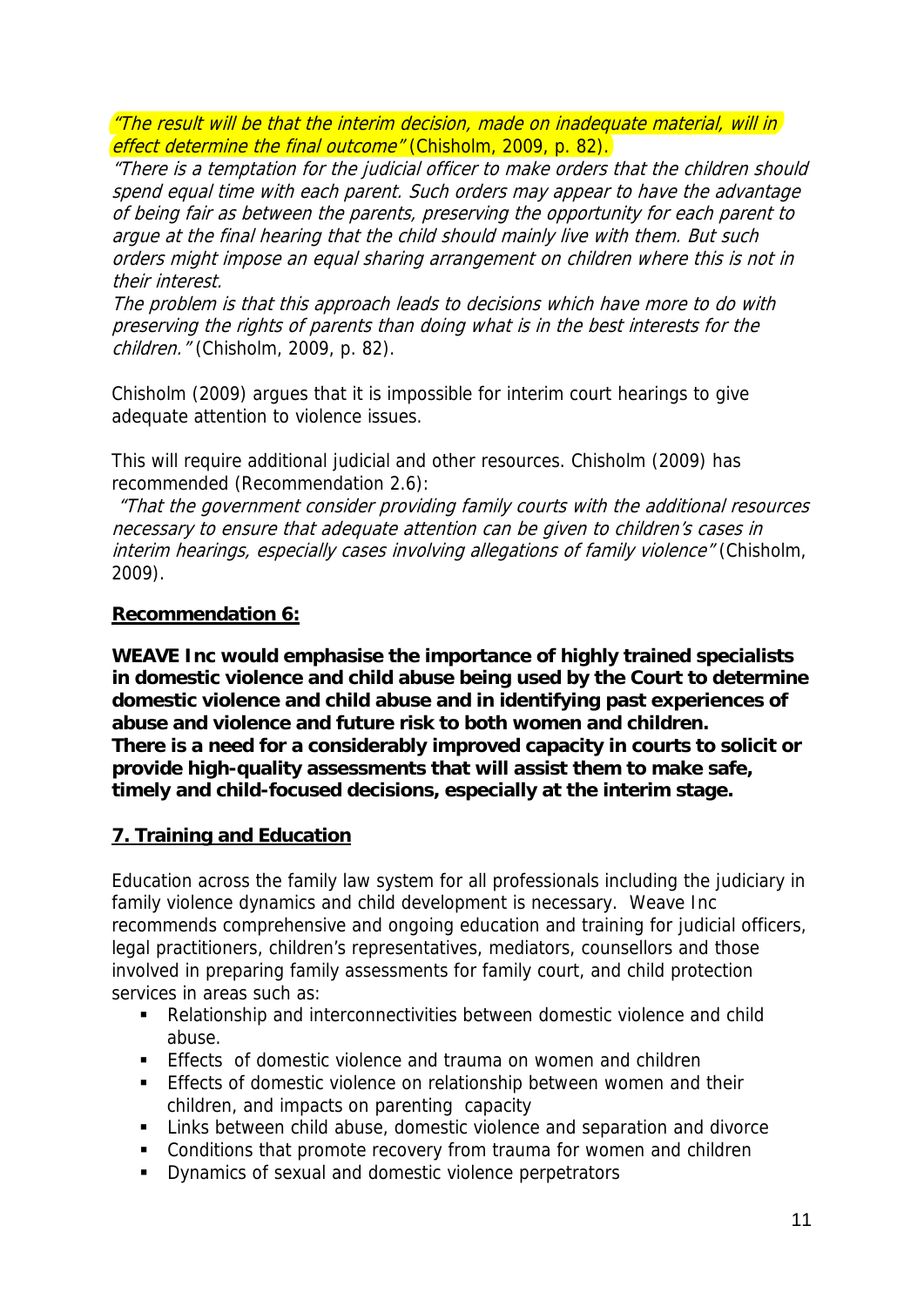"The result will be that the interim decision, made on inadequate material, will in effect determine the final outcome" (Chisholm, 2009, p. 82).

"There is a temptation for the judicial officer to make orders that the children should spend equal time with each parent. Such orders may appear to have the advantage of being fair as between the parents, preserving the opportunity for each parent to argue at the final hearing that the child should mainly live with them. But such orders might impose an equal sharing arrangement on children where this is not in their interest.

The problem is that this approach leads to decisions which have more to do with preserving the rights of parents than doing what is in the best interests for the children." (Chisholm, 2009, p. 82).

Chisholm (2009) argues that it is impossible for interim court hearings to give adequate attention to violence issues.

This will require additional judicial and other resources. Chisholm (2009) has recommended (Recommendation 2.6):

 "That the government consider providing family courts with the additional resources necessary to ensure that adequate attention can be given to children's cases in interim hearings, especially cases involving allegations of family violence" (Chisholm, 2009).

### **Recommendation 6:**

**WEAVE Inc would emphasise the importance of highly trained specialists in domestic violence and child abuse being used by the Court to determine domestic violence and child abuse and in identifying past experiences of abuse and violence and future risk to both women and children. There is a need for a considerably improved capacity in courts to solicit or provide high-quality assessments that will assist them to make safe, timely and child-focused decisions, especially at the interim stage.** 

# **7. Training and Education**

Education across the family law system for all professionals including the judiciary in family violence dynamics and child development is necessary. Weave Inc recommends comprehensive and ongoing education and training for judicial officers, legal practitioners, children's representatives, mediators, counsellors and those involved in preparing family assessments for family court, and child protection services in areas such as:

- Relationship and interconnectivities between domestic violence and child abuse.
- **Effects** of domestic violence and trauma on women and children
- **Effects of domestic violence on relationship between women and their** children, and impacts on parenting capacity
- **EXECT** Links between child abuse, domestic violence and separation and divorce
- **Conditions that promote recovery from trauma for women and children**
- Dynamics of sexual and domestic violence perpetrators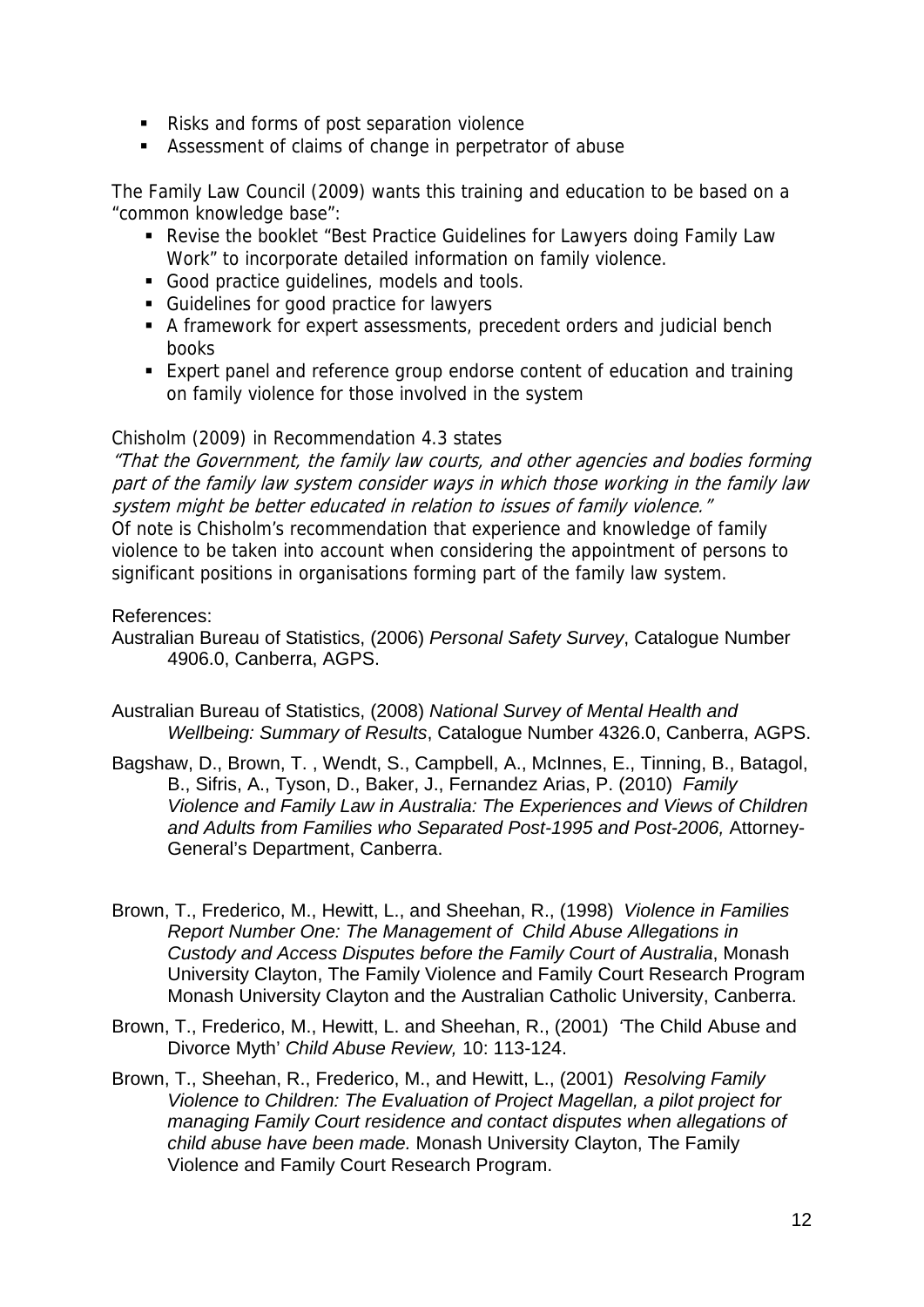- Risks and forms of post separation violence
- Assessment of claims of change in perpetrator of abuse

The Family Law Council (2009) wants this training and education to be based on a "common knowledge base":

- Revise the booklet "Best Practice Guidelines for Lawyers doing Family Law Work" to incorporate detailed information on family violence.
- Good practice quidelines, models and tools.
- Guidelines for good practice for lawyers
- A framework for expert assessments, precedent orders and judicial bench books
- Expert panel and reference group endorse content of education and training on family violence for those involved in the system

#### Chisholm (2009) in Recommendation 4.3 states

"That the Government, the family law courts, and other agencies and bodies forming part of the family law system consider ways in which those working in the family law system might be better educated in relation to issues of family violence." Of note is Chisholm's recommendation that experience and knowledge of family violence to be taken into account when considering the appointment of persons to

# References:

Australian Bureau of Statistics, (2006) *Personal Safety Survey*, Catalogue Number 4906.0, Canberra, AGPS.

significant positions in organisations forming part of the family law system.

Australian Bureau of Statistics, (2008) *National Survey of Mental Health and Wellbeing: Summary of Results*, Catalogue Number 4326.0, Canberra, AGPS.

- Bagshaw, D., Brown, T. , Wendt, S., Campbell, A., McInnes, E., Tinning, B., Batagol, B., Sifris, A., Tyson, D., Baker, J., Fernandez Arias, P. (2010) *Family Violence and Family Law in Australia: The Experiences and Views of Children and Adults from Families who Separated Post-1995 and Post-2006,* Attorney-General's Department, Canberra.
- Brown, T., Frederico, M., Hewitt, L., and Sheehan, R., (1998) *Violence in Families Report Number One: The Management of Child Abuse Allegations in Custody and Access Disputes before the Family Court of Australia*, Monash University Clayton, The Family Violence and Family Court Research Program Monash University Clayton and the Australian Catholic University, Canberra.
- Brown, T., Frederico, M., Hewitt, L. and Sheehan, R., (2001) *'*The Child Abuse and Divorce Myth' *Child Abuse Review,* 10: 113-124.
- Brown, T., Sheehan, R., Frederico, M., and Hewitt, L., (2001) *Resolving Family Violence to Children: The Evaluation of Project Magellan, a pilot project for managing Family Court residence and contact disputes when allegations of child abuse have been made.* Monash University Clayton, The Family Violence and Family Court Research Program.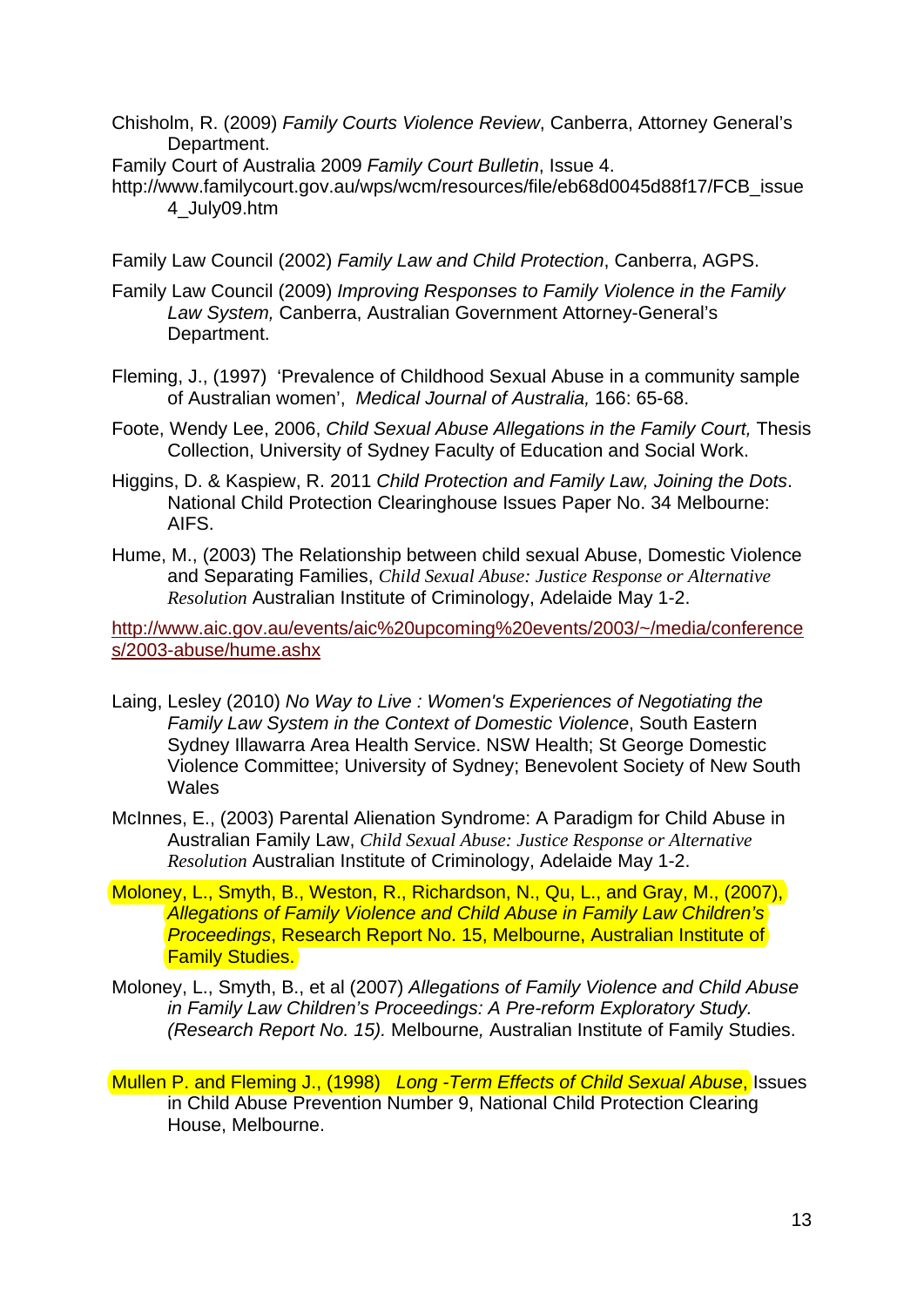Chisholm, R. (2009) *Family Courts Violence Review*, Canberra, Attorney General's Department.

Family Court of Australia 2009 *Family Court Bulletin*, Issue 4.

[http://www.familycourt.gov.au/wps/wcm/resources/file/eb68d0045d88f17/FCB\\_issue](http://www.familycourt.gov.au/wps/wcm/resources/file/eb68d0045d88f17/FCB_issue4_July09.htm) [4\\_July09.htm](http://www.familycourt.gov.au/wps/wcm/resources/file/eb68d0045d88f17/FCB_issue4_July09.htm) 

Family Law Council (2002) *Family Law and Child Protection*, Canberra, AGPS.

- Family Law Council (2009) *Improving Responses to Family Violence in the Family Law System,* Canberra, Australian Government Attorney-General's Department.
- Fleming, J., (1997) 'Prevalence of Childhood Sexual Abuse in a community sample of Australian women', *Medical Journal of Australia,* 166: 65-68.
- Foote, Wendy Lee, 2006, *Child Sexual Abuse Allegations in the Family Court,* Thesis Collection, University of Sydney Faculty of Education and Social Work.
- Higgins, D. & Kaspiew, R. 2011 *Child Protection and Family Law, Joining the Dots*. National Child Protection Clearinghouse Issues Paper No. 34 Melbourne: AIFS.

Hume, M., (2003) The Relationship between child sexual Abuse, Domestic Violence and Separating Families, *Child Sexual Abuse: Justice Response or Alternative Resolution* Australian Institute of Criminology, Adelaide May 1-2.

[http://www.aic.gov.au/events/aic%20upcoming%20events/2003/~/media/conference](http://www.aic.gov.au/events/aic%20upcoming%20events/2003/%7E/media/conferences/2003-abuse/hume.ashx) [s/2003-abuse/hume.ashx](http://www.aic.gov.au/events/aic%20upcoming%20events/2003/%7E/media/conferences/2003-abuse/hume.ashx) 

- [Laing, Lesley](http://www.austdvclearinghouse.unsw.edu.au/dbtw-wpd/exec/dbtwpub.dll?AC=SEE_ALSO&QF0=Personal+name&QI0==%22Laing,+Lesley%22&XC=/dbtw-wpd/exec/dbtwpub.dll&BU=http%3A%2F%2Fwww.austdvclearinghouse.unsw.edu.au%2Fresearch.html&TN=CATALO%7E1&SN=AUTO378&SE=901&RN=0&MR=20&TR=0&TX=1000&ES=0&CS=1&XP=&RF=brieftitlenew&EF=&DF=Record_display_new&RL=0&EL=0&DL=0&NP=3&ID=&MF=&MQ=&TI=0&DT=&ST=0&IR=4907&NR=0&NB=0&SV=0&SS=0&BG=&FG=&QS=&OEX=ISO-8859-1&OEH=ISO-8859-1) (2010) *No Way to Live : Women's [Experiences](http://www.austdvclearinghouse.unsw.edu.au/research.html##) of Negotiating the Family Law System in the Context of Domestic Violence*, [South Eastern](http://www.austdvclearinghouse.unsw.edu.au/dbtw-wpd/exec/dbtwpub.dll?AC=SEE_ALSO&QF0=Corporate+name&QI0==%22South+Eastern+Sydney+Illawawrra+Area+Health+Service.+NSW+Health%22&XC=/dbtw-wpd/exec/dbtwpub.dll&BU=http%3A%2F%2Fwww.austdvclearinghouse.unsw.edu.au%2Fresearch.html&TN=CATALO%7E1&SN=AUTO378&SE=901&RN=0&MR=20&TR=0&TX=1000&ES=0&CS=1&XP=&RF=brieftitlenew&EF=&DF=Record_display_new&RL=0&EL=0&DL=0&NP=3&ID=&MF=&MQ=&TI=0&DT=&ST=0&IR=4907&NR=0&NB=0&SV=0&SS=0&BG=&FG=&QS=&OEX=ISO-8859-1&OEH=ISO-8859-1)  [Sydney Illawarra Area Health Service. NSW Health](http://www.austdvclearinghouse.unsw.edu.au/dbtw-wpd/exec/dbtwpub.dll?AC=SEE_ALSO&QF0=Corporate+name&QI0==%22South+Eastern+Sydney+Illawawrra+Area+Health+Service.+NSW+Health%22&XC=/dbtw-wpd/exec/dbtwpub.dll&BU=http%3A%2F%2Fwww.austdvclearinghouse.unsw.edu.au%2Fresearch.html&TN=CATALO%7E1&SN=AUTO378&SE=901&RN=0&MR=20&TR=0&TX=1000&ES=0&CS=1&XP=&RF=brieftitlenew&EF=&DF=Record_display_new&RL=0&EL=0&DL=0&NP=3&ID=&MF=&MQ=&TI=0&DT=&ST=0&IR=4907&NR=0&NB=0&SV=0&SS=0&BG=&FG=&QS=&OEX=ISO-8859-1&OEH=ISO-8859-1); [St George Domestic](http://www.austdvclearinghouse.unsw.edu.au/dbtw-wpd/exec/dbtwpub.dll?AC=SEE_ALSO&QF0=Corporate+name&QI0==%22St+George+Domestic+Violence+Committee%22&XC=/dbtw-wpd/exec/dbtwpub.dll&BU=http%3A%2F%2Fwww.austdvclearinghouse.unsw.edu.au%2Fresearch.html&TN=CATALO%7E1&SN=AUTO378&SE=901&RN=0&MR=20&TR=0&TX=1000&ES=0&CS=1&XP=&RF=brieftitlenew&EF=&DF=Record_display_new&RL=0&EL=0&DL=0&NP=3&ID=&MF=&MQ=&TI=0&DT=&ST=0&IR=4907&NR=0&NB=0&SV=0&SS=0&BG=&FG=&QS=&OEX=ISO-8859-1&OEH=ISO-8859-1)  [Violence Committee](http://www.austdvclearinghouse.unsw.edu.au/dbtw-wpd/exec/dbtwpub.dll?AC=SEE_ALSO&QF0=Corporate+name&QI0==%22St+George+Domestic+Violence+Committee%22&XC=/dbtw-wpd/exec/dbtwpub.dll&BU=http%3A%2F%2Fwww.austdvclearinghouse.unsw.edu.au%2Fresearch.html&TN=CATALO%7E1&SN=AUTO378&SE=901&RN=0&MR=20&TR=0&TX=1000&ES=0&CS=1&XP=&RF=brieftitlenew&EF=&DF=Record_display_new&RL=0&EL=0&DL=0&NP=3&ID=&MF=&MQ=&TI=0&DT=&ST=0&IR=4907&NR=0&NB=0&SV=0&SS=0&BG=&FG=&QS=&OEX=ISO-8859-1&OEH=ISO-8859-1); [University of Sydney](http://www.austdvclearinghouse.unsw.edu.au/dbtw-wpd/exec/dbtwpub.dll?AC=SEE_ALSO&QF0=Corporate+name&QI0==%22University+of+Sydney%22&XC=/dbtw-wpd/exec/dbtwpub.dll&BU=http%3A%2F%2Fwww.austdvclearinghouse.unsw.edu.au%2Fresearch.html&TN=CATALO%7E1&SN=AUTO378&SE=901&RN=0&MR=20&TR=0&TX=1000&ES=0&CS=1&XP=&RF=brieftitlenew&EF=&DF=Record_display_new&RL=0&EL=0&DL=0&NP=3&ID=&MF=&MQ=&TI=0&DT=&ST=0&IR=4907&NR=0&NB=0&SV=0&SS=0&BG=&FG=&QS=&OEX=ISO-8859-1&OEH=ISO-8859-1); [Benevolent Society of New South](http://www.austdvclearinghouse.unsw.edu.au/dbtw-wpd/exec/dbtwpub.dll?AC=SEE_ALSO&QF0=Corporate+name&QI0==%22Benevolent+Society+of+New+South+Wales%22&XC=/dbtw-wpd/exec/dbtwpub.dll&BU=http%3A%2F%2Fwww.austdvclearinghouse.unsw.edu.au%2Fresearch.html&TN=CATALO%7E1&SN=AUTO378&SE=901&RN=0&MR=20&TR=0&TX=1000&ES=0&CS=1&XP=&RF=brieftitlenew&EF=&DF=Record_display_new&RL=0&EL=0&DL=0&NP=3&ID=&MF=&MQ=&TI=0&DT=&ST=0&IR=4907&NR=0&NB=0&SV=0&SS=0&BG=&FG=&QS=&OEX=ISO-8859-1&OEH=ISO-8859-1)  **[Wales](http://www.austdvclearinghouse.unsw.edu.au/dbtw-wpd/exec/dbtwpub.dll?AC=SEE_ALSO&QF0=Corporate+name&QI0==%22Benevolent+Society+of+New+South+Wales%22&XC=/dbtw-wpd/exec/dbtwpub.dll&BU=http%3A%2F%2Fwww.austdvclearinghouse.unsw.edu.au%2Fresearch.html&TN=CATALO%7E1&SN=AUTO378&SE=901&RN=0&MR=20&TR=0&TX=1000&ES=0&CS=1&XP=&RF=brieftitlenew&EF=&DF=Record_display_new&RL=0&EL=0&DL=0&NP=3&ID=&MF=&MQ=&TI=0&DT=&ST=0&IR=4907&NR=0&NB=0&SV=0&SS=0&BG=&FG=&QS=&OEX=ISO-8859-1&OEH=ISO-8859-1)**
- McInnes, E., (2003) Parental Alienation Syndrome: A Paradigm for Child Abuse in Australian Family Law, *Child Sexual Abuse: Justice Response or Alternative Resolution* Australian Institute of Criminology, Adelaide May 1-2.
- Moloney, L., Smyth, B., Weston, R., Richardson, N., Qu, L., and Gray, M., (2007), *Allegations of Family Violence and Child Abuse in Family Law Children's Proceedings*, Research Report No. 15, Melbourne, Australian Institute of **Family Studies.**
- Moloney, L., Smyth, B., et al (2007) *Allegations of Family Violence and Child Abuse in Family Law Children's Proceedings: A Pre-reform Exploratory Study. (Research Report No. 15).* Melbourne*,* Australian Institute of Family Studies.
- Mullen P. and Fleming J., (1998) *Long -Term Effects of Child Sexual Abuse*, Issues in Child Abuse Prevention Number 9, National Child Protection Clearing House, Melbourne.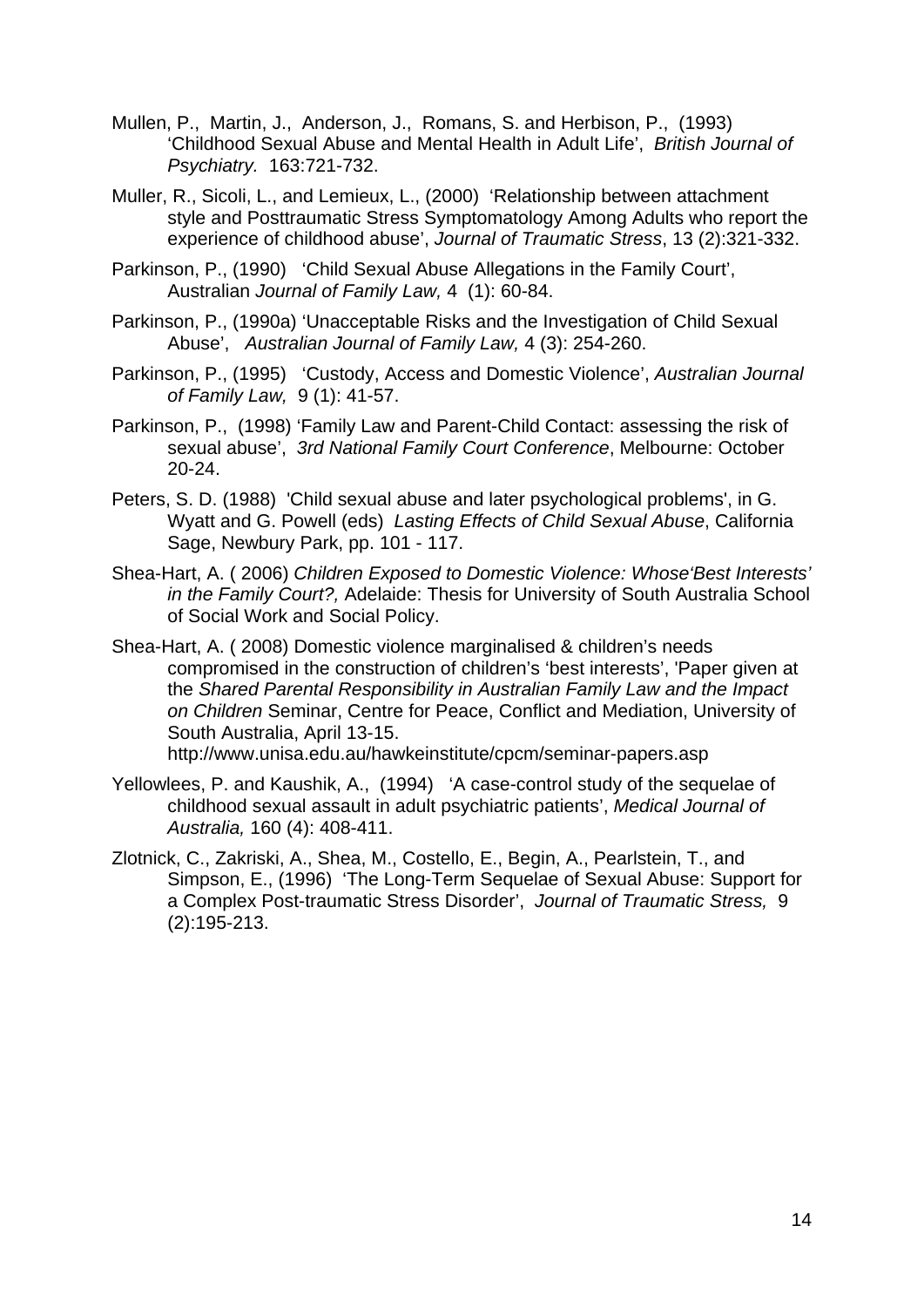- Mullen, P., Martin, J., Anderson, J., Romans, S. and Herbison, P., (1993) 'Childhood Sexual Abuse and Mental Health in Adult Life', *British Journal of Psychiatry.* 163:721-732.
- Muller, R., Sicoli, L., and Lemieux, L., (2000) 'Relationship between attachment style and Posttraumatic Stress Symptomatology Among Adults who report the experience of childhood abuse', *Journal of Traumatic Stress*, 13 (2):321-332.
- Parkinson, P., (1990) 'Child Sexual Abuse Allegations in the Family Court', Australian *Journal of Family Law,* 4 (1): 60-84.
- Parkinson, P., (1990a) 'Unacceptable Risks and the Investigation of Child Sexual Abuse', *Australian Journal of Family Law,* 4 (3): 254-260.
- Parkinson, P., (1995) 'Custody, Access and Domestic Violence', *Australian Journal of Family Law,* 9 (1): 41-57.
- Parkinson, P., (1998) 'Family Law and Parent-Child Contact: assessing the risk of sexual abuse', *3rd National Family Court Conference*, Melbourne: October 20-24.
- Peters, S. D. (1988) 'Child sexual abuse and later psychological problems', in G. Wyatt and G. Powell (eds) *Lasting Effects of Child Sexual Abuse*, California Sage, Newbury Park, pp. 101 - 117.
- Shea-Hart, A. ( 2006) *Children Exposed to Domestic Violence: Whose'Best Interests' in the Family Court?,* Adelaide: Thesis for University of South Australia School of Social Work and Social Policy.
- Shea-Hart, A. ( 2008) Domestic violence marginalised & children's needs compromised in the construction of children's 'best interests', 'Paper given at the *Shared Parental Responsibility in Australian Family Law and the Impact on Children* Seminar, Centre for Peace, Conflict and Mediation, University of South Australia, April 13-15.
	- http://www.unisa.edu.au/hawkeinstitute/cpcm/seminar-papers.asp
- Yellowlees, P. and Kaushik, A., (1994) 'A case-control study of the sequelae of childhood sexual assault in adult psychiatric patients', *Medical Journal of Australia,* 160 (4): 408-411.
- Zlotnick, C., Zakriski, A., Shea, M., Costello, E., Begin, A., Pearlstein, T., and Simpson, E., (1996) 'The Long-Term Sequelae of Sexual Abuse: Support for a Complex Post-traumatic Stress Disorder', *Journal of Traumatic Stress,* 9 (2):195-213.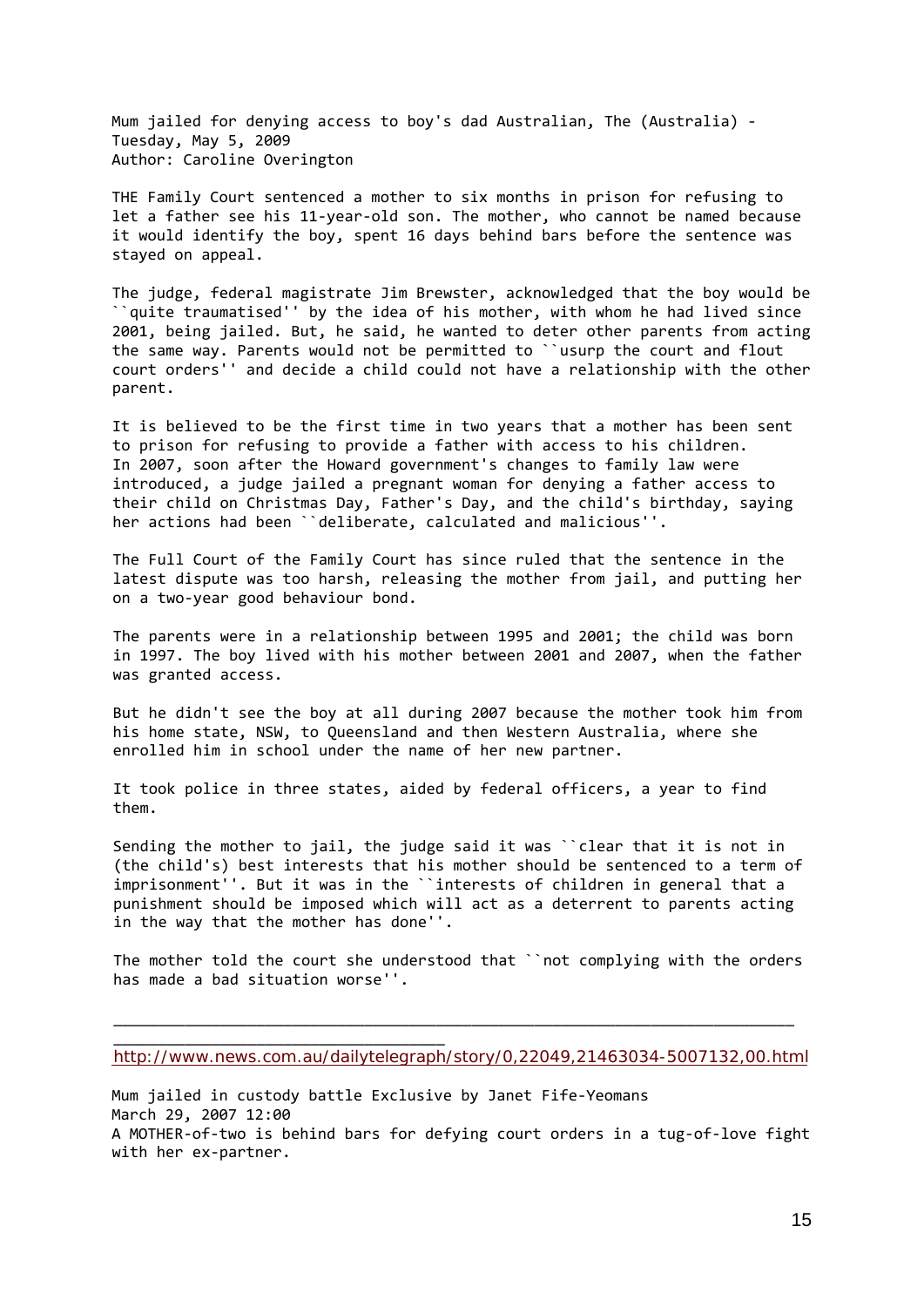Mum jailed for denying access to boy's dad Australian, The (Australia) ‐ Tuesday, May 5, 2009 Author: Caroline Overington

THE Family Court sentenced a mother to six months in prison for refusing to let a father see his 11‐year‐old son. The mother, who cannot be named because it would identify the boy, spent 16 days behind bars before the sentence was stayed on appeal.

The judge, federal magistrate Jim Brewster, acknowledged that the boy would be ``quite traumatised'' by the idea of his mother, with whom he had lived since 2001, being jailed. But, he said, he wanted to deter other parents from acting the same way. Parents would not be permitted to ``usurp the court and flout court orders'' and decide a child could not have a relationship with the other parent.

It is believed to be the first time in two years that a mother has been sent to prison for refusing to provide a father with access to his children. In 2007, soon after the Howard government's changes to family law were introduced, a judge jailed a pregnant woman for denying a father access to their child on Christmas Day, Father's Day, and the child's birthday, saying her actions had been ``deliberate, calculated and malicious''.

The Full Court of the Family Court has since ruled that the sentence in the latest dispute was too harsh, releasing the mother from jail, and putting her on a two‐year good behaviour bond.

The parents were in a relationship between 1995 and 2001; the child was born in 1997. The boy lived with his mother between 2001 and 2007, when the father was granted access.

But he didn't see the boy at all during 2007 because the mother took him from his home state, NSW, to Queensland and then Western Australia, where she enrolled him in school under the name of her new partner.

It took police in three states, aided by federal officers, a year to find them.

Sending the mother to jail, the judge said it was ``clear that it is not in (the child's) best interests that his mother should be sentenced to a term of imprisonment''. But it was in the ``interests of children in general that a punishment should be imposed which will act as a deterrent to parents acting in the way that the mother has done''.

The mother told the court she understood that ``not complying with the orders has made a bad situation worse''.

\_\_\_\_\_\_\_\_\_\_\_\_\_\_\_\_\_\_\_\_\_\_\_\_\_\_\_\_\_\_\_\_\_\_\_\_\_\_\_\_\_\_\_\_\_\_\_\_\_\_\_\_\_\_\_\_\_\_\_\_\_\_\_\_\_\_\_\_\_\_\_\_\_\_\_\_

\_\_\_\_\_\_\_\_\_\_\_\_\_\_\_\_\_\_\_\_\_\_\_\_\_\_\_\_\_\_\_\_\_\_\_\_\_

<http://www.news.com.au/dailytelegraph/story/0,22049,21463034-5007132,00.html>

Mum jailed in custody battle Exclusive by Janet Fife‐Yeomans March 29, 2007 12:00 A MOTHER-of-two is behind bars for defying court orders in a tug-of-love fight with her ex‐partner.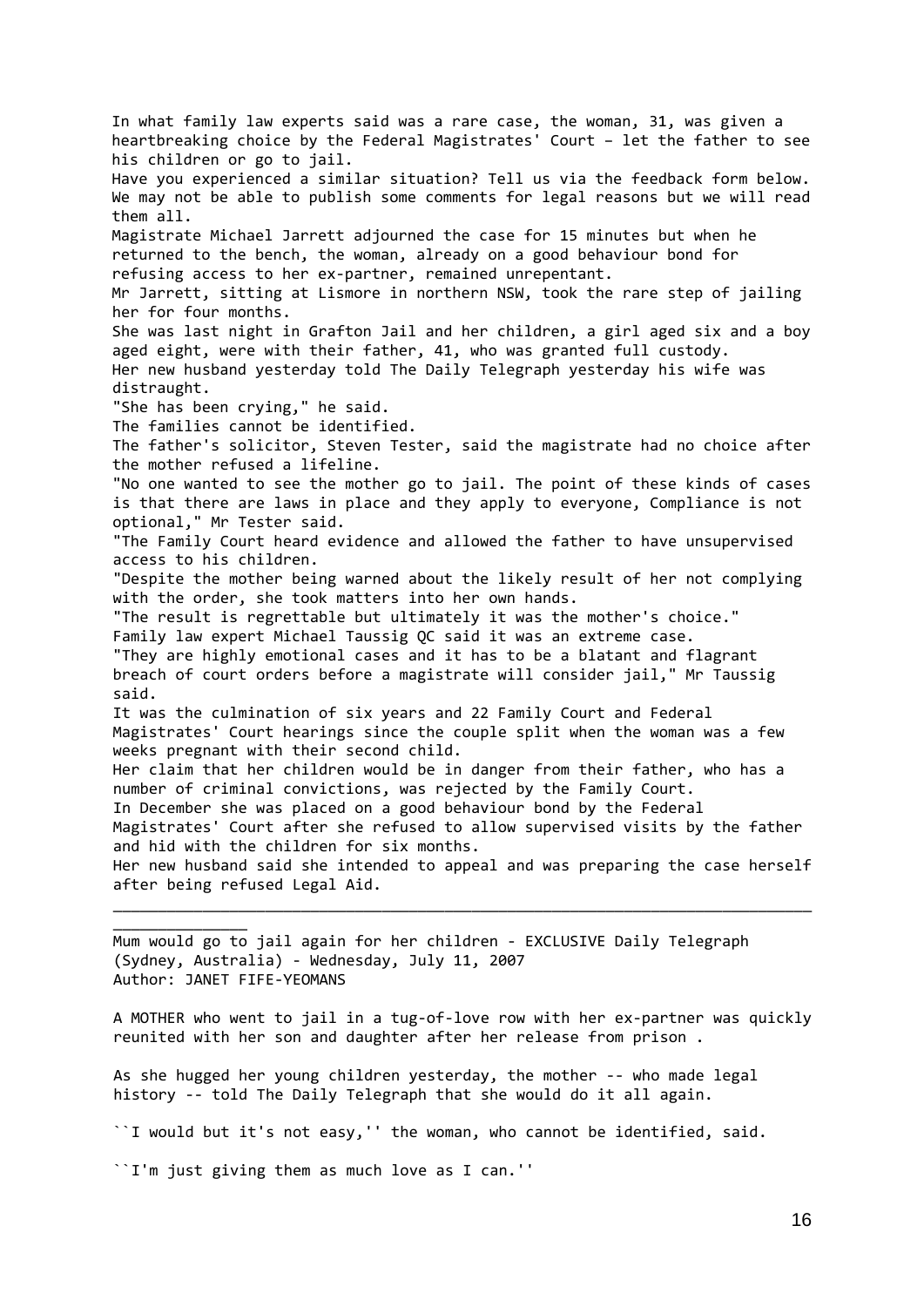In what family law experts said was a rare case, the woman, 31, was given a heartbreaking choice by the Federal Magistrates' Court – let the father to see his children or go to jail. Have you experienced a similar situation? Tell us via the feedback form below. We may not be able to publish some comments for legal reasons but we will read them all. Magistrate Michael Jarrett adjourned the case for 15 minutes but when he returned to the bench, the woman, already on a good behaviour bond for refusing access to her ex‐partner, remained unrepentant. Mr Jarrett, sitting at Lismore in northern NSW, took the rare step of jailing her for four months. She was last night in Grafton Jail and her children, a girl aged six and a boy aged eight, were with their father, 41, who was granted full custody. Her new husband yesterday told The Daily Telegraph yesterday his wife was distraught. "She has been crying," he said. The families cannot be identified. The father's solicitor, Steven Tester, said the magistrate had no choice after the mother refused a lifeline. "No one wanted to see the mother go to jail. The point of these kinds of cases is that there are laws in place and they apply to everyone, Compliance is not optional," Mr Tester said. "The Family Court heard evidence and allowed the father to have unsupervised access to his children. "Despite the mother being warned about the likely result of her not complying with the order, she took matters into her own hands. "The result is regrettable but ultimately it was the mother's choice." Family law expert Michael Taussig QC said it was an extreme case. "They are highly emotional cases and it has to be a blatant and flagrant breach of court orders before a magistrate will consider jail," Mr Taussig said. It was the culmination of six years and 22 Family Court and Federal Magistrates' Court hearings since the couple split when the woman was a few weeks pregnant with their second child. Her claim that her children would be in danger from their father, who has a number of criminal convictions, was rejected by the Family Court. In December she was placed on a good behaviour bond by the Federal Magistrates' Court after she refused to allow supervised visits by the father and hid with the children for six months. Her new husband said she intended to appeal and was preparing the case herself after being refused Legal Aid. \_\_\_\_\_\_\_\_\_\_\_\_\_\_\_\_\_\_\_\_\_\_\_\_\_\_\_\_\_\_\_\_\_\_\_\_\_\_\_\_\_\_\_\_\_\_\_\_\_\_\_\_\_\_\_\_\_\_\_\_\_\_\_\_\_\_\_\_\_\_\_\_\_\_\_\_\_\_

Mum would go to jail again for her children ‐ EXCLUSIVE Daily Telegraph (Sydney, Australia) ‐ Wednesday, July 11, 2007 Author: JANET FIFE‐YEOMANS

A MOTHER who went to jail in a tug‐of‐love row with her ex‐partner was quickly reunited with her son and daughter after her release from prison .

As she hugged her young children yesterday, the mother ‐‐ who made legal history -- told The Daily Telegraph that she would do it all again.

``I would but it's not easy,'' the woman, who cannot be identified, said.

``I'm just giving them as much love as I can.''

 $\overline{\phantom{a}}$  , where  $\overline{\phantom{a}}$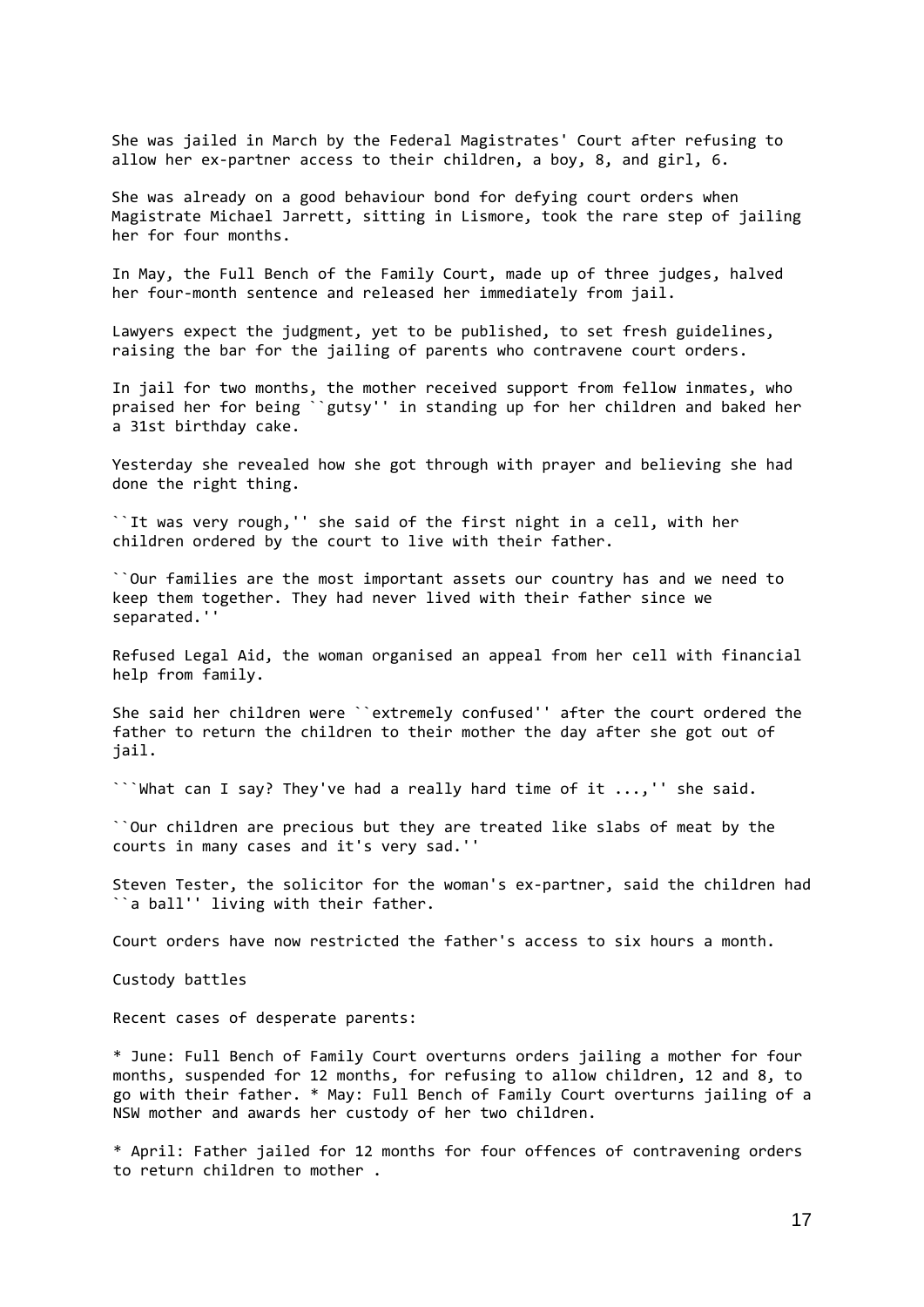She was jailed in March by the Federal Magistrates' Court after refusing to allow her ex-partner access to their children, a boy, 8, and girl, 6.

She was already on a good behaviour bond for defying court orders when Magistrate Michael Jarrett, sitting in Lismore, took the rare step of jailing her for four months.

In May, the Full Bench of the Family Court, made up of three judges, halved her four-month sentence and released her immediately from jail.

Lawyers expect the judgment, yet to be published, to set fresh guidelines, raising the bar for the jailing of parents who contravene court orders.

In jail for two months, the mother received support from fellow inmates, who praised her for being ``gutsy'' in standing up for her children and baked her a 31st birthday cake.

Yesterday she revealed how she got through with prayer and believing she had done the right thing.

``It was very rough,'' she said of the first night in a cell, with her children ordered by the court to live with their father.

``Our families are the most important assets our country has and we need to keep them together. They had never lived with their father since we separated.''

Refused Legal Aid, the woman organised an appeal from her cell with financial help from family.

She said her children were ``extremely confused'' after the court ordered the father to return the children to their mother the day after she got out of jail.

```What can I say? They've had a really hard time of it ...,'' she said.

``Our children are precious but they are treated like slabs of meat by the courts in many cases and it's very sad.''

Steven Tester, the solicitor for the woman's ex-partner, said the children had ``a ball'' living with their father.

Court orders have now restricted the father's access to six hours a month.

Custody battles

Recent cases of desperate parents:

\* June: Full Bench of Family Court overturns orders jailing a mother for four months, suspended for 12 months, for refusing to allow children, 12 and 8, to go with their father. \* May: Full Bench of Family Court overturns jailing of a NSW mother and awards her custody of her two children.

\* April: Father jailed for 12 months for four offences of contravening orders to return children to mother .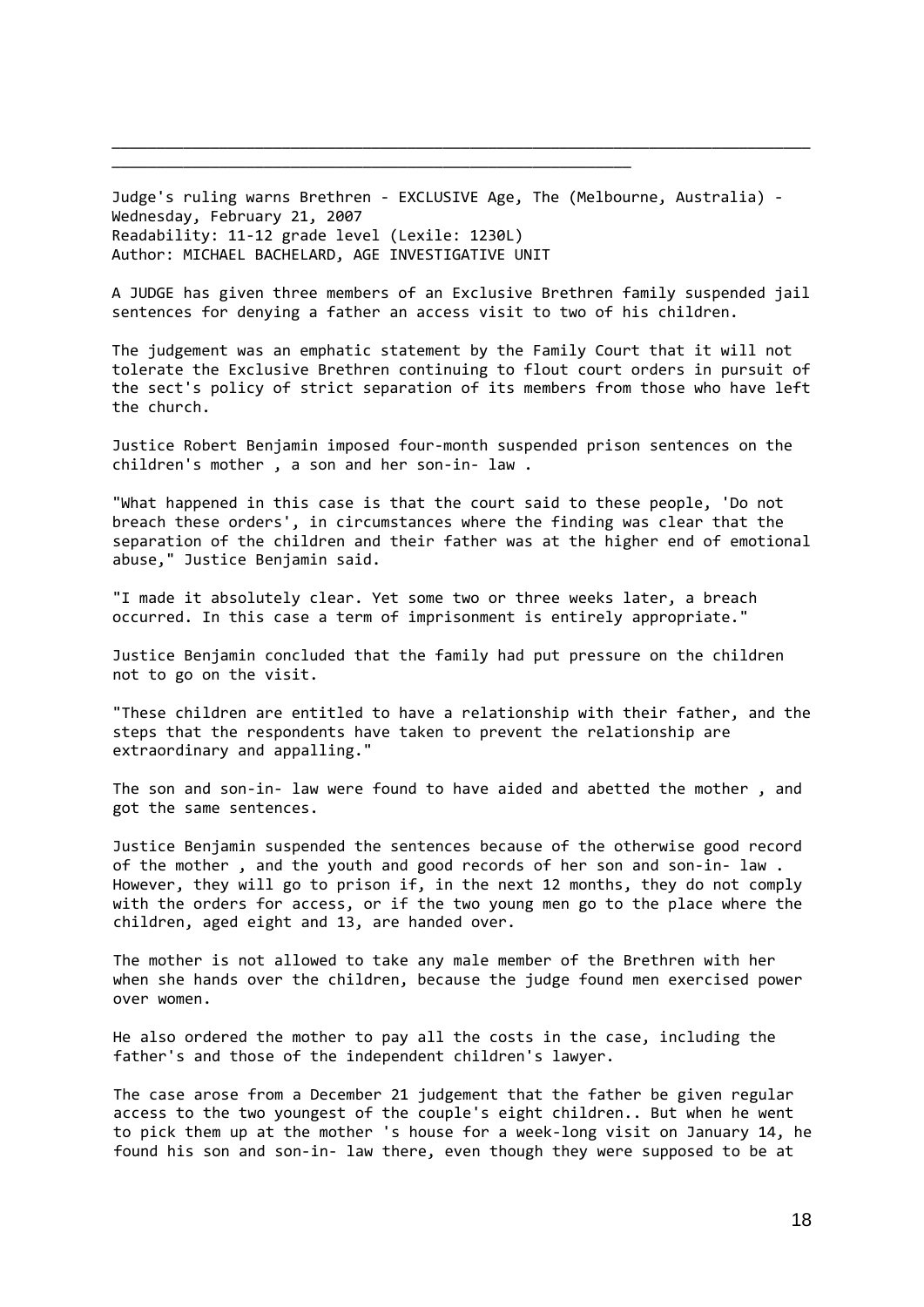Judge's ruling warns Brethren ‐ EXCLUSIVE Age, The (Melbourne, Australia) ‐ Wednesday, February 21, 2007 Readability: 11‐12 grade level (Lexile: 1230L) Author: MICHAEL BACHELARD, AGE INVESTIGATIVE UNIT

\_\_\_\_\_\_\_\_\_\_\_\_\_\_\_\_\_\_\_\_\_\_\_\_\_\_\_\_\_\_\_\_\_\_\_\_\_\_\_\_\_\_\_\_\_\_\_\_\_\_\_\_\_\_\_\_\_\_

\_\_\_\_\_\_\_\_\_\_\_\_\_\_\_\_\_\_\_\_\_\_\_\_\_\_\_\_\_\_\_\_\_\_\_\_\_\_\_\_\_\_\_\_\_\_\_\_\_\_\_\_\_\_\_\_\_\_\_\_\_\_\_\_\_\_\_\_\_\_\_\_\_\_\_\_\_\_

A JUDGE has given three members of an Exclusive Brethren family suspended jail sentences for denying a father an access visit to two of his children.

The judgement was an emphatic statement by the Family Court that it will not tolerate the Exclusive Brethren continuing to flout court orders in pursuit of the sect's policy of strict separation of its members from those who have left the church.

Justice Robert Benjamin imposed four‐month suspended prison sentences on the children's mother , a son and her son‐in‐ law .

"What happened in this case is that the court said to these people, 'Do not breach these orders', in circumstances where the finding was clear that the separation of the children and their father was at the higher end of emotional abuse," Justice Benjamin said.

"I made it absolutely clear. Yet some two or three weeks later, a breach occurred. In this case a term of imprisonment is entirely appropriate."

Justice Benjamin concluded that the family had put pressure on the children not to go on the visit.

"These children are entitled to have a relationship with their father, and the steps that the respondents have taken to prevent the relationship are extraordinary and appalling."

The son and son-in- law were found to have aided and abetted the mother, and got the same sentences.

Justice Benjamin suspended the sentences because of the otherwise good record of the mother , and the youth and good records of her son and son‐in‐ law . However, they will go to prison if, in the next 12 months, they do not comply with the orders for access, or if the two young men go to the place where the children, aged eight and 13, are handed over.

The mother is not allowed to take any male member of the Brethren with her when she hands over the children, because the judge found men exercised power over women.

He also ordered the mother to pay all the costs in the case, including the father's and those of the independent children's lawyer.

The case arose from a December 21 judgement that the father be given regular access to the two youngest of the couple's eight children.. But when he went to pick them up at the mother 's house for a week‐long visit on January 14, he found his son and son‐in‐ law there, even though they were supposed to be at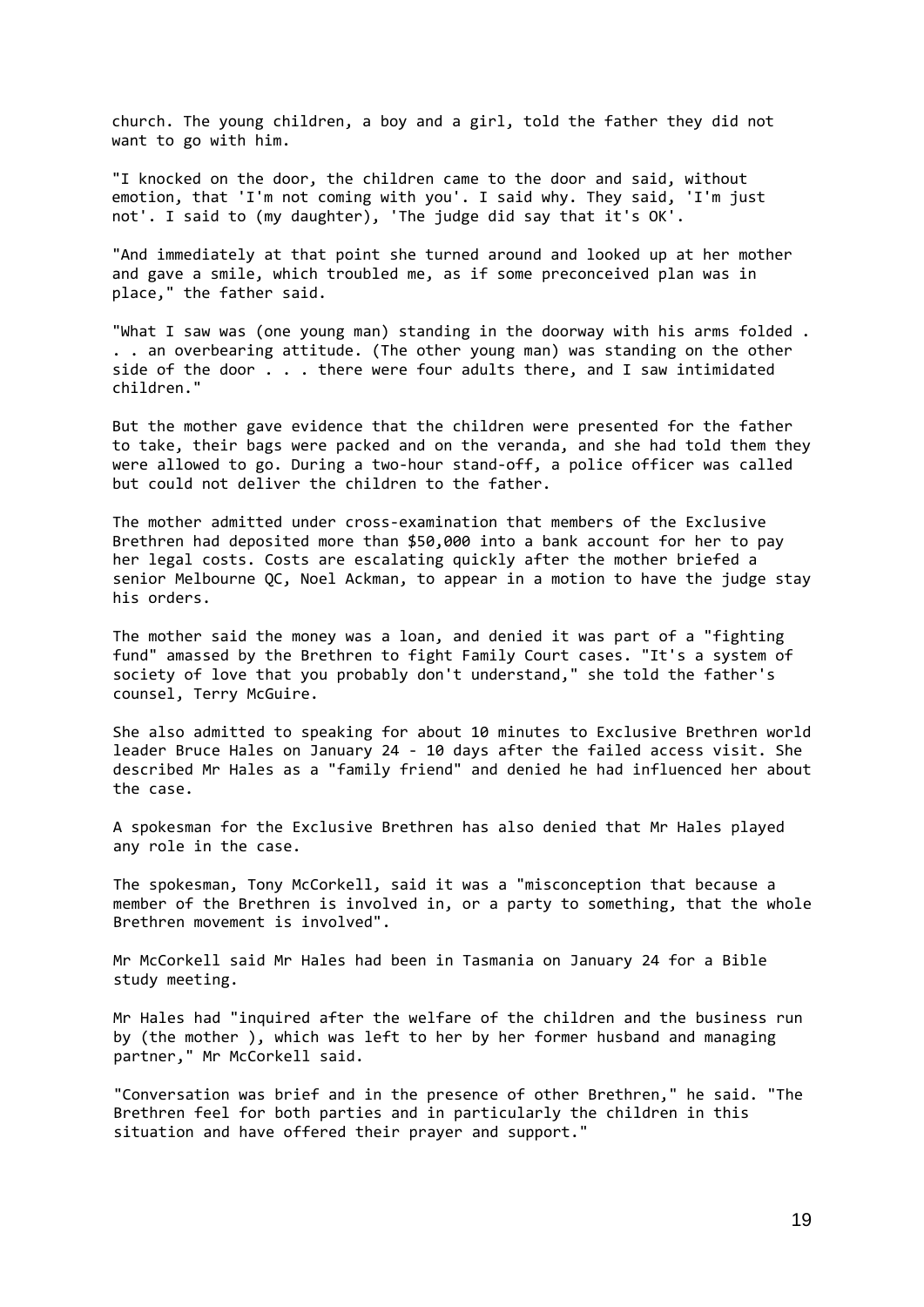church. The young children, a boy and a girl, told the father they did not want to go with him.

"I knocked on the door, the children came to the door and said, without emotion, that 'I'm not coming with you'. I said why. They said, 'I'm just not'. I said to (my daughter), 'The judge did say that it's OK'.

"And immediately at that point she turned around and looked up at her mother and gave a smile, which troubled me, as if some preconceived plan was in place," the father said.

"What I saw was (one young man) standing in the doorway with his arms folded . . . an overbearing attitude. (The other young man) was standing on the other side of the door . . . there were four adults there, and I saw intimidated children."

But the mother gave evidence that the children were presented for the father to take, their bags were packed and on the veranda, and she had told them they were allowed to go. During a two-hour stand-off, a police officer was called but could not deliver the children to the father.

The mother admitted under cross-examination that members of the Exclusive Brethren had deposited more than \$50,000 into a bank account for her to pay her legal costs. Costs are escalating quickly after the mother briefed a senior Melbourne QC, Noel Ackman, to appear in a motion to have the judge stay his orders.

The mother said the money was a loan, and denied it was part of a "fighting fund" amassed by the Brethren to fight Family Court cases. "It's a system of society of love that you probably don't understand," she told the father's counsel, Terry McGuire.

She also admitted to speaking for about 10 minutes to Exclusive Brethren world leader Bruce Hales on January 24 ‐ 10 days after the failed access visit. She described Mr Hales as a "family friend" and denied he had influenced her about the case.

A spokesman for the Exclusive Brethren has also denied that Mr Hales played any role in the case.

The spokesman, Tony McCorkell, said it was a "misconception that because a member of the Brethren is involved in, or a party to something, that the whole Brethren movement is involved".

Mr McCorkell said Mr Hales had been in Tasmania on January 24 for a Bible study meeting.

Mr Hales had "inquired after the welfare of the children and the business run by (the mother ), which was left to her by her former husband and managing partner," Mr McCorkell said.

"Conversation was brief and in the presence of other Brethren," he said. "The Brethren feel for both parties and in particularly the children in this situation and have offered their prayer and support."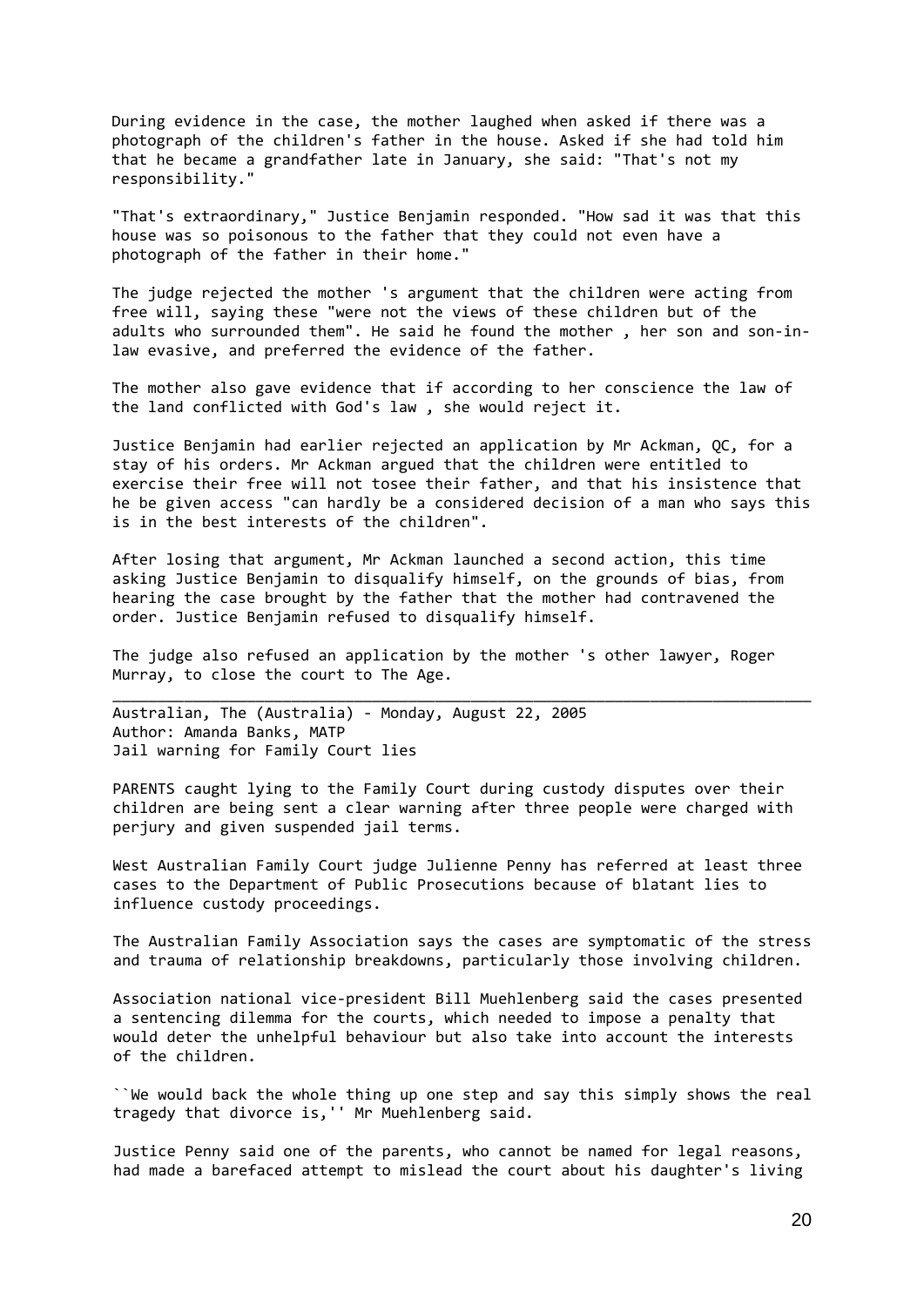During evidence in the case, the mother laughed when asked if there was a photograph of the children's father in the house. Asked if she had told him that he became a grandfather late in January, she said: "That's not my responsibility."

"That's extraordinary," Justice Benjamin responded. "How sad it was that this house was so poisonous to the father that they could not even have a photograph of the father in their home."

The judge rejected the mother 's argument that the children were acting from free will, saying these "were not the views of these children but of the adults who surrounded them". He said he found the mother, her son and son-inlaw evasive, and preferred the evidence of the father.

The mother also gave evidence that if according to her conscience the law of the land conflicted with God's law , she would reject it.

Justice Benjamin had earlier rejected an application by Mr Ackman, QC, for a stay of his orders. Mr Ackman argued that the children were entitled to exercise their free will not tosee their father, and that his insistence that he be given access "can hardly be a considered decision of a man who says this is in the best interests of the children".

After losing that argument, Mr Ackman launched a second action, this time asking Justice Benjamin to disqualify himself, on the grounds of bias, from hearing the case brought by the father that the mother had contravened the order. Justice Benjamin refused to disqualify himself.

The judge also refused an application by the mother 's other lawyer, Roger Murray, to close the court to The Age.

\_\_\_\_\_\_\_\_\_\_\_\_\_\_\_\_\_\_\_\_\_\_\_\_\_\_\_\_\_\_\_\_\_\_\_\_\_\_\_\_\_\_\_\_\_\_\_\_\_\_\_\_\_\_\_\_\_\_\_\_\_\_\_\_\_\_\_\_\_\_\_\_\_\_\_\_\_\_

Australian, The (Australia) ‐ Monday, August 22, 2005 Author: Amanda Banks, MATP Jail warning for Family Court lies

PARENTS caught lying to the Family Court during custody disputes over their children are being sent a clear warning after three people were charged with perjury and given suspended jail terms.

West Australian Family Court judge Julienne Penny has referred at least three cases to the Department of Public Prosecutions because of blatant lies to influence custody proceedings.

The Australian Family Association says the cases are symptomatic of the stress and trauma of relationship breakdowns, particularly those involving children.

Association national vice‐president Bill Muehlenberg said the cases presented a sentencing dilemma for the courts, which needed to impose a penalty that would deter the unhelpful behaviour but also take into account the interests of the children.

``We would back the whole thing up one step and say this simply shows the real tragedy that divorce is,'' Mr Muehlenberg said.

Justice Penny said one of the parents, who cannot be named for legal reasons, had made a barefaced attempt to mislead the court about his daughter's living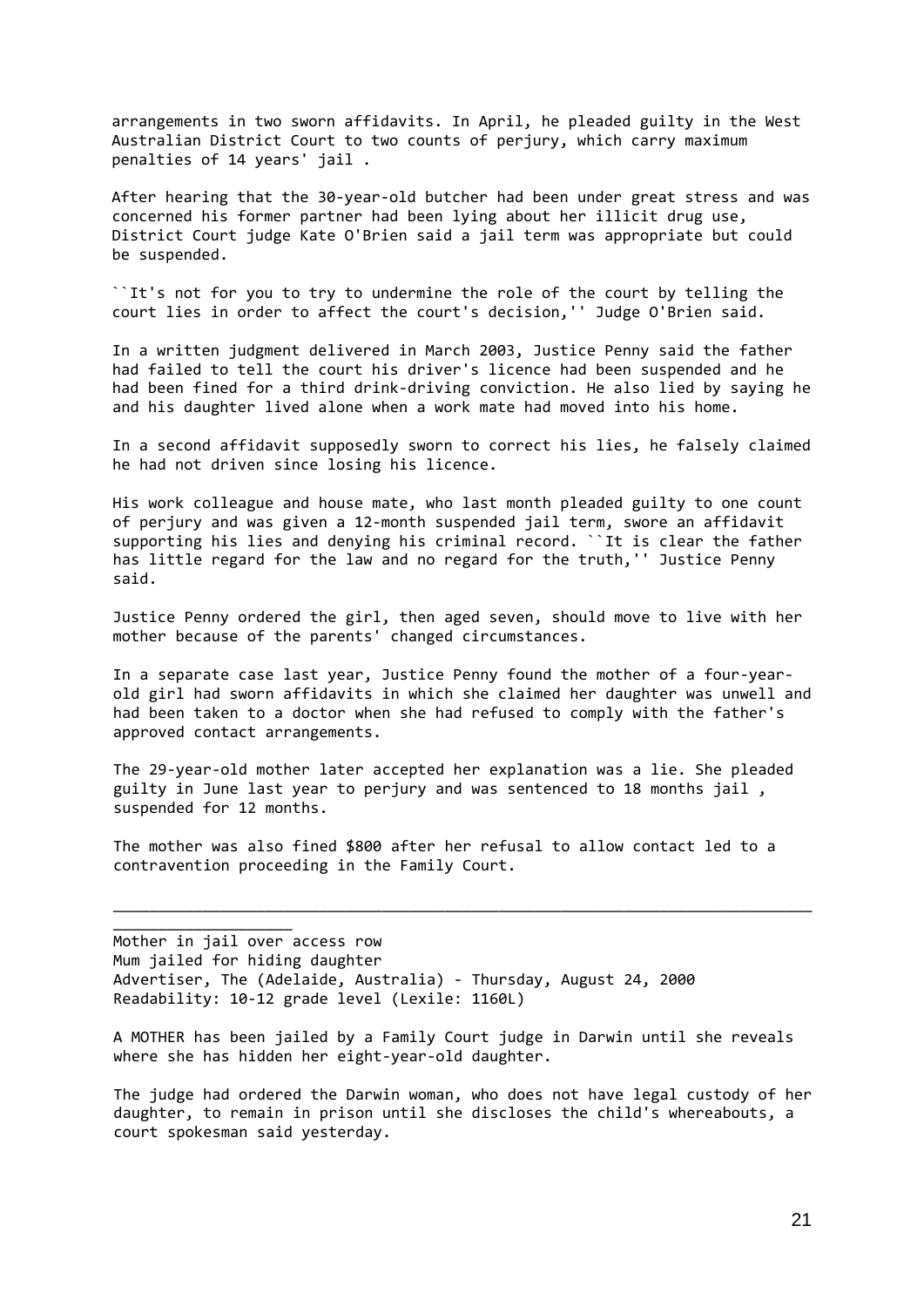arrangements in two sworn affidavits. In April, he pleaded guilty in the West Australian District Court to two counts of perjury, which carry maximum penalties of 14 years' jail .

After hearing that the 30‐year‐old butcher had been under great stress and was concerned his former partner had been lying about her illicit drug use, District Court judge Kate O'Brien said a jail term was appropriate but could be suspended.

``It's not for you to try to undermine the role of the court by telling the court lies in order to affect the court's decision,'' Judge O'Brien said.

In a written judgment delivered in March 2003, Justice Penny said the father had failed to tell the court his driver's licence had been suspended and he had been fined for a third drink‐driving conviction. He also lied by saying he and his daughter lived alone when a work mate had moved into his home.

In a second affidavit supposedly sworn to correct his lies, he falsely claimed he had not driven since losing his licence.

His work colleague and house mate, who last month pleaded guilty to one count of perjury and was given a 12‐month suspended jail term, swore an affidavit supporting his lies and denying his criminal record. ``It is clear the father has little regard for the law and no regard for the truth,'' Justice Penny said.

Justice Penny ordered the girl, then aged seven, should move to live with her mother because of the parents' changed circumstances.

In a separate case last year, Justice Penny found the mother of a four‐year‐ old girl had sworn affidavits in which she claimed her daughter was unwell and had been taken to a doctor when she had refused to comply with the father's approved contact arrangements.

The 29‐year‐old mother later accepted her explanation was a lie. She pleaded guilty in June last year to perjury and was sentenced to 18 months jail , suspended for 12 months.

The mother was also fined \$800 after her refusal to allow contact led to a contravention proceeding in the Family Court.

\_\_\_\_\_\_\_\_\_\_\_\_\_\_\_\_\_\_\_\_\_\_\_\_\_\_\_\_\_\_\_\_\_\_\_\_\_\_\_\_\_\_\_\_\_\_\_\_\_\_\_\_\_\_\_\_\_\_\_\_\_\_\_\_\_\_\_\_\_\_\_\_\_\_\_\_\_\_

Mother in jail over access row Mum jailed for hiding daughter Advertiser, The (Adelaide, Australia) ‐ Thursday, August 24, 2000 Readability: 10‐12 grade level (Lexile: 1160L)

\_\_\_\_\_\_\_\_\_\_\_\_\_\_\_\_\_\_\_\_

A MOTHER has been jailed by a Family Court judge in Darwin until she reveals where she has hidden her eight‐year‐old daughter.

The judge had ordered the Darwin woman, who does not have legal custody of her daughter, to remain in prison until she discloses the child's whereabouts, a court spokesman said yesterday.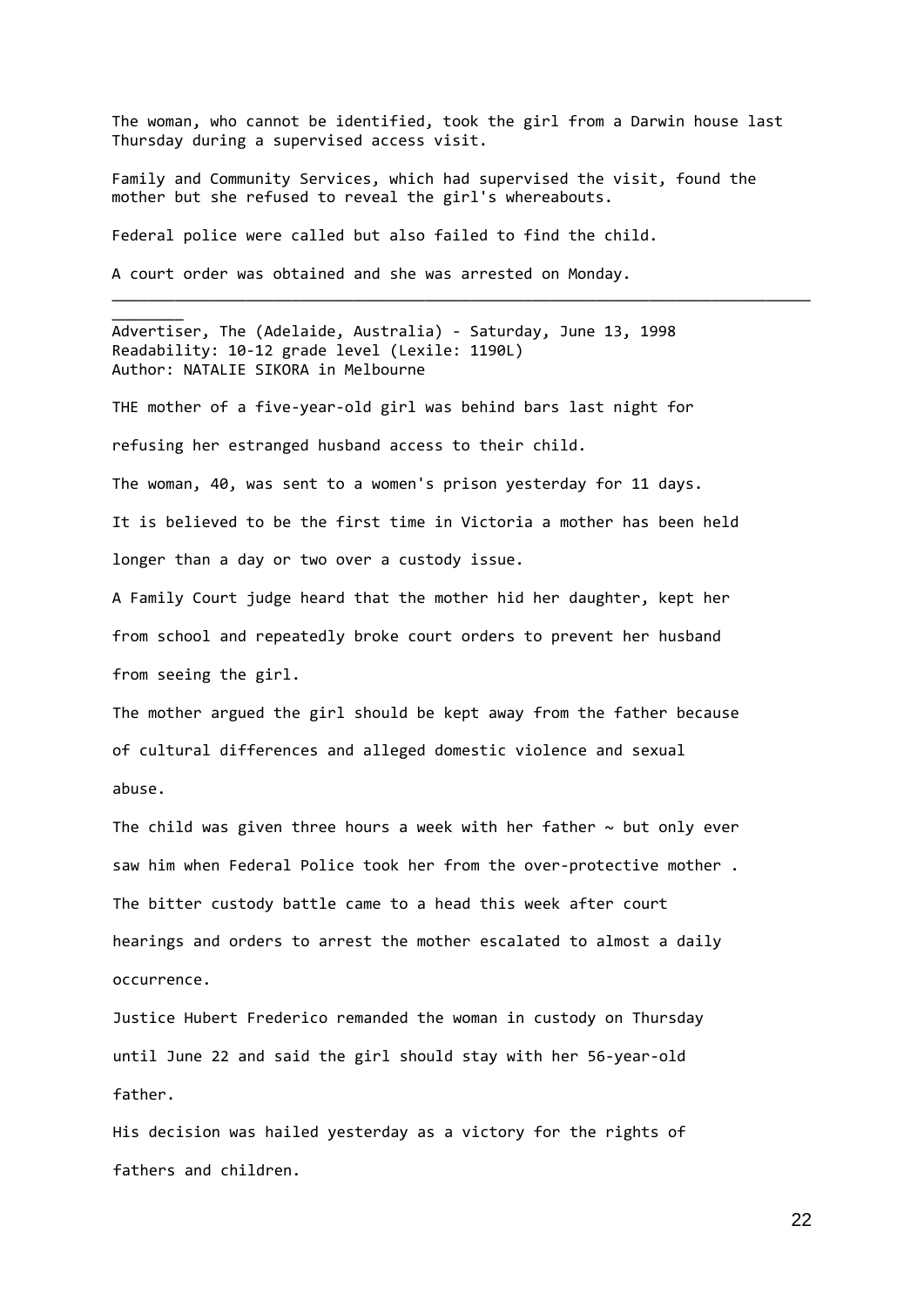The woman, who cannot be identified, took the girl from a Darwin house last Thursday during a supervised access visit.

\_\_\_\_\_\_\_\_\_\_\_\_\_\_\_\_\_\_\_\_\_\_\_\_\_\_\_\_\_\_\_\_\_\_\_\_\_\_\_\_\_\_\_\_\_\_\_\_\_\_\_\_\_\_\_\_\_\_\_\_\_\_\_\_\_\_\_\_\_\_\_\_\_\_\_\_\_\_

Family and Community Services, which had supervised the visit, found the mother but she refused to reveal the girl's whereabouts.

Federal police were called but also failed to find the child.

A court order was obtained and she was arrested on Monday.

\_\_\_\_\_\_\_\_

Advertiser, The (Adelaide, Australia) ‐ Saturday, June 13, 1998 Readability: 10‐12 grade level (Lexile: 1190L) Author: NATALIE SIKORA in Melbourne

THE mother of a five‐year‐old girl was behind bars last night for refusing her estranged husband access to their child.

The woman, 40, was sent to a women's prison yesterday for 11 days. It is believed to be the first time in Victoria a mother has been held longer than a day or two over a custody issue.

A Family Court judge heard that the mother hid her daughter, kept her from school and repeatedly broke court orders to prevent her husband from seeing the girl.

The mother argued the girl should be kept away from the father because of cultural differences and alleged domestic violence and sexual abuse.

The child was given three hours a week with her father  $\sim$  but only ever saw him when Federal Police took her from the over-protective mother. The bitter custody battle came to a head this week after court hearings and orders to arrest the mother escalated to almost a daily occurrence.

Justice Hubert Frederico remanded the woman in custody on Thursday until June 22 and said the girl should stay with her 56‐year‐old father.

His decision was hailed yesterday as a victory for the rights of fathers and children.

22